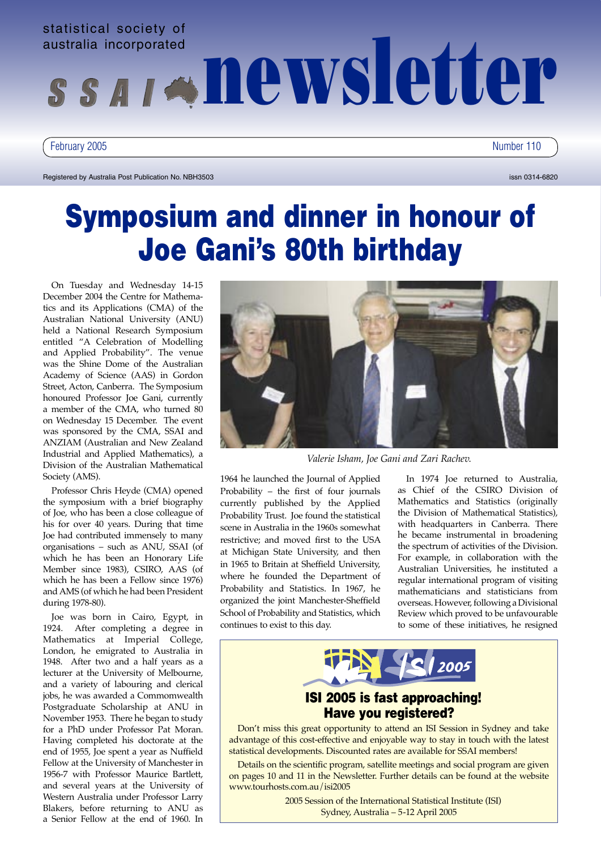

February 2005 Number 110

Registered by Australia Post Publication No. NBH3503 issn 0314-6820 issn 0314-6820

# Symposium and dinner in honour of Joe Gani's 80th birthday

On Tuesday and Wednesday 14-15 December 2004 the Centre for Mathematics and its Applications (CMA) of the Australian National University (ANU) held a National Research Symposium entitled "A Celebration of Modelling and Applied Probability". The venue was the Shine Dome of the Australian Academy of Science (AAS) in Gordon Street, Acton, Canberra. The Symposium honoured Professor Joe Gani, currently a member of the CMA, who turned 80 on Wednesday 15 December. The event was sponsored by the CMA, SSAI and ANZIAM (Australian and New Zealand Industrial and Applied Mathematics), a Division of the Australian Mathematical Society (AMS).

Professor Chris Heyde (CMA) opened the symposium with a brief biography of Joe, who has been a close colleague of his for over 40 years. During that time Joe had contributed immensely to many organisations – such as ANU, SSAI (of which he has been an Honorary Life Member since 1983), CSIRO, AAS (of which he has been a Fellow since 1976) and AMS (of which he had been President during 1978-80).

Joe was born in Cairo, Egypt, in 1924. After completing a degree in Mathematics at Imperial College, London, he emigrated to Australia in 1948. After two and a half years as a lecturer at the University of Melbourne, and a variety of labouring and clerical jobs, he was awarded a Commomwealth Postgraduate Scholarship at ANU in November 1953. There he began to study for a PhD under Professor Pat Moran. Having completed his doctorate at the end of 1955, Joe spent a year as Nuffield Fellow at the University of Manchester in 1956-7 with Professor Maurice Bartlett, and several years at the University of Western Australia under Professor Larry Blakers, before returning to ANU as a Senior Fellow at the end of 1960. In



*Valerie Isham, Joe Gani and Zari Rachev.*

1964 he launched the Journal of Applied Probability – the first of four journals currently published by the Applied Probability Trust. Joe found the statistical scene in Australia in the 1960s somewhat restrictive; and moved first to the USA at Michigan State University, and then in 1965 to Britain at Sheffield University, where he founded the Department of Probability and Statistics. In 1967, he organized the joint Manchester-Sheffield School of Probability and Statistics, which continues to exist to this day.

In 1974 Joe returned to Australia, as Chief of the CSIRO Division of Mathematics and Statistics (originally the Division of Mathematical Statistics), with headquarters in Canberra. There he became instrumental in broadening the spectrum of activities of the Division. For example, in collaboration with the Australian Universities, he instituted a regular international program of visiting mathematicians and statisticians from overseas. However, following a Divisional Review which proved to be unfavourable to some of these initiatives, he resigned



# ISI 2005 is fast approaching! Have you registered?

Don't miss this great opportunity to attend an ISI Session in Sydney and take advantage of this cost-effective and enjoyable way to stay in touch with the latest statistical developments. Discounted rates are available for SSAI members!

Details on the scientific program, satellite meetings and social program are given on pages 10 and 11 in the Newsletter. Further details can be found at the website www.tourhosts.com.au/isi2005

> 2005 Session of the International Statistical Institute (ISI) Sydney, Australia – 5-12 April 2005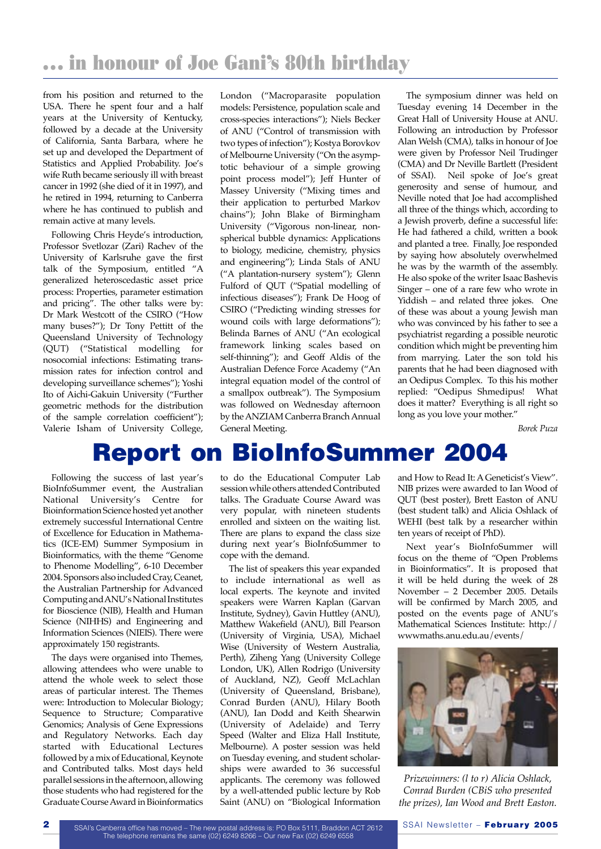from his position and returned to the USA. There he spent four and a half years at the University of Kentucky, followed by a decade at the University of California, Santa Barbara, where he set up and developed the Department of Statistics and Applied Probability. Joe's wife Ruth became seriously ill with breast cancer in 1992 (she died of it in 1997), and he retired in 1994, returning to Canberra where he has continued to publish and remain active at many levels.

Following Chris Heyde's introduction, Professor Svetlozar (Zari) Rachev of the University of Karlsruhe gave the first talk of the Symposium, entitled "A generalized heteroscedastic asset price process: Properties, parameter estimation and pricing". The other talks were by: Dr Mark Westcott of the CSIRO ("How many buses?"); Dr Tony Pettitt of the Queensland University of Technology (QUT) ("Statistical modelling for nosocomial infections: Estimating transmission rates for infection control and developing surveillance schemes"); Yoshi Ito of Aichi-Gakuin University ("Further geometric methods for the distribution of the sample correlation coefficient"); Valerie Isham of University College,

London ("Macroparasite population models: Persistence, population scale and cross-species interactions"); Niels Becker of ANU ("Control of transmission with two types of infection"); Kostya Borovkov of Melbourne University ("On the asymptotic behaviour of a simple growing point process model"); Jeff Hunter of Massey University ("Mixing times and their application to perturbed Markov chains"); John Blake of Birmingham University ("Vigorous non-linear, nonspherical bubble dynamics: Applications to biology, medicine, chemistry, physics and engineering"); Linda Stals of ANU ("A plantation-nursery system"); Glenn Fulford of QUT ("Spatial modelling of infectious diseases"); Frank De Hoog of CSIRO ("Predicting winding stresses for wound coils with large deformations"); Belinda Barnes of ANU ("An ecological framework linking scales based on self-thinning"); and Geoff Aldis of the Australian Defence Force Academy ("An integral equation model of the control of a smallpox outbreak"). The Symposium was followed on Wednesday afternoon by the ANZIAM Canberra Branch Annual General Meeting.

The symposium dinner was held on Tuesday evening 14 December in the Great Hall of University House at ANU. Following an introduction by Professor Alan Welsh (CMA), talks in honour of Joe were given by Professor Neil Trudinger (CMA) and Dr Neville Bartlett (President of SSAI). Neil spoke of Joe's great generosity and sense of humour, and Neville noted that Joe had accomplished all three of the things which, according to a Jewish proverb, define a successful life: He had fathered a child, written a book and planted a tree. Finally, Joe responded by saying how absolutely overwhelmed he was by the warmth of the assembly. He also spoke of the writer Isaac Bashevis Singer – one of a rare few who wrote in Yiddish – and related three jokes. One of these was about a young Jewish man who was convinced by his father to see a psychiatrist regarding a possible neurotic condition which might be preventing him from marrying. Later the son told his parents that he had been diagnosed with an Oedipus Complex. To this his mother replied: "Oedipus Shmedipus! What does it matter? Everything is all right so long as you love your mother."

*Borek Puza*

# Report on BioInfoSummer 2004

Following the success of last year's BioInfoSummer event, the Australian National University's Centre for Bioinformation Science hosted yet another extremely successful International Centre of Excellence for Education in Mathematics (ICE-EM) Summer Symposium in Bioinformatics, with the theme "Genome to Phenome Modelling", 6-10 December 2004. Sponsors also included Cray, Ceanet, the Australian Partnership for Advanced Computing and ANU's National Institutes for Bioscience (NIB), Health and Human Science (NIHHS) and Engineering and Information Sciences (NIEIS). There were approximately 150 registrants.

The days were organised into Themes, allowing attendees who were unable to attend the whole week to select those areas of particular interest. The Themes were: Introduction to Molecular Biology; Sequence to Structure; Comparative Genomics; Analysis of Gene Expressions and Regulatory Networks. Each day started with Educational Lectures followed by a mix of Educational, Keynote and Contributed talks. Most days held parallel sessions in the afternoon, allowing those students who had registered for the Graduate Course Award in Bioinformatics

to do the Educational Computer Lab session while others attended Contributed talks. The Graduate Course Award was very popular, with nineteen students enrolled and sixteen on the waiting list. There are plans to expand the class size during next year's BioInfoSummer to cope with the demand.

The list of speakers this year expanded to include international as well as local experts. The keynote and invited speakers were Warren Kaplan (Garvan Institute, Sydney), Gavin Huttley (ANU), Matthew Wakefield (ANU), Bill Pearson (University of Virginia, USA), Michael Wise (University of Western Australia, Perth), Ziheng Yang (University College London, UK), Allen Rodrigo (University of Auckland, NZ), Geoff McLachlan (University of Queensland, Brisbane), Conrad Burden (ANU), Hilary Booth (ANU), Ian Dodd and Keith Shearwin (University of Adelaide) and Terry Speed (Walter and Eliza Hall Institute, Melbourne). A poster session was held on Tuesday evening, and student scholarships were awarded to 36 successful applicants. The ceremony was followed by a well-attended public lecture by Rob Saint (ANU) on "Biological Information

and How to Read It: A Geneticist's View". NIB prizes were awarded to Ian Wood of QUT (best poster), Brett Easton of ANU (best student talk) and Alicia Oshlack of WEHI (best talk by a researcher within ten years of receipt of PhD).

Next year's BioInfoSummer will focus on the theme of "Open Problems in Bioinformatics". It is proposed that it will be held during the week of 28 November – 2 December 2005. Details will be confirmed by March 2005, and posted on the events page of ANU's Mathematical Sciences Institute: http:// wwwmaths.anu.edu.au/events/



*Prizewinners: (l to r) Alicia Oshlack, Conrad Burden (CBiS who presented the prizes), Ian Wood and Brett Easton.*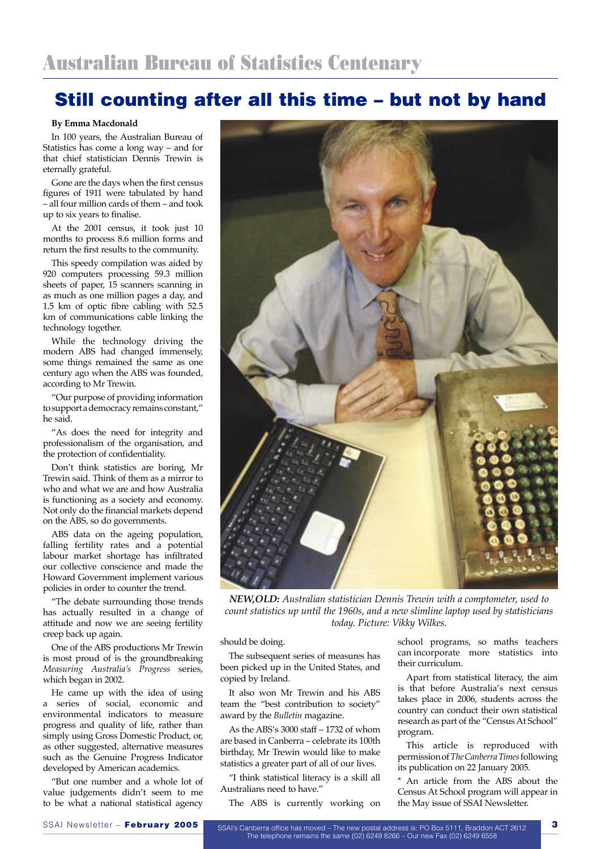# Still counting after all this time – but not by hand

**By Emma Macdonald**

In 100 years, the Australian Bureau of Statistics has come a long way – and for that chief statistician Dennis Trewin is eternally grateful.

Gone are the days when the first census figures of 1911 were tabulated by hand – all four million cards of them – and took up to six years to finalise.

At the 2001 census, it took just 10 months to process 8.6 million forms and return the first results to the community.

This speedy compilation was aided by 920 computers processing 59.3 million sheets of paper, 15 scanners scanning in as much as one million pages a day, and 1.5 km of optic fibre cabling with 52.5 km of communications cable linking the technology together.

While the technology driving the modern ABS had changed immensely, some things remained the same as one century ago when the ABS was founded, according to Mr Trewin.

"Our purpose of providing information to support a democracy remains constant," he said.

"As does the need for integrity and professionalism of the organisation, and the protection of confidentiality.

Don't think statistics are boring, Mr Trewin said. Think of them as a mirror to who and what we are and how Australia is functioning as a society and economy. Not only do the financial markets depend on the ABS, so do governments.

ABS data on the ageing population, falling fertility rates and a potential labour market shortage has infiltrated our collective conscience and made the Howard Government implement various policies in order to counter the trend.

"The debate surrounding those trends has actually resulted in a change of attitude and now we are seeing fertility creep back up again.

One of the ABS productions Mr Trewin is most proud of is the groundbreaking *Measuring Australia's Progress* series, which began in 2002.

He came up with the idea of using a series of social, economic and environmental indicators to measure progress and quality of life, rather than simply using Gross Domestic Product, or, as other suggested, alternative measures such as the Genuine Progress Indicator developed by American academics.

"But one number and a whole lot of value judgements didn't seem to me to be what a national statistical agency



*NEW,OLD: Australian statistician Dennis Trewin with a comptometer, used to count statistics up until the 1960s, and a new slimline laptop used by statisticians today. Picture: Vikky Wilkes.*

should be doing.

The subsequent series of measures has been picked up in the United States, and copied by Ireland.

It also won Mr Trewin and his ABS team the "best contribution to society" award by the *Bulletin* magazine.

As the ABS's 3000 staff – 1732 of whom are based in Canberra – celebrate its 100th birthday, Mr Trewin would like to make statistics a greater part of all of our lives.

"I think statistical literacy is a skill all Australians need to have."

The ABS is currently working on

school programs, so maths teachers can incorporate more statistics into their curriculum.

Apart from statistical literacy, the aim is that before Australia's next census takes place in 2006, students across the country can conduct their own statistical research as part of the "Census At School" program.

This article is reproduced with permission of *The Canberra Times* following its publication on 22 January 2005.

An article from the ABS about the Census At School program will appear in the May issue of SSAI Newsletter.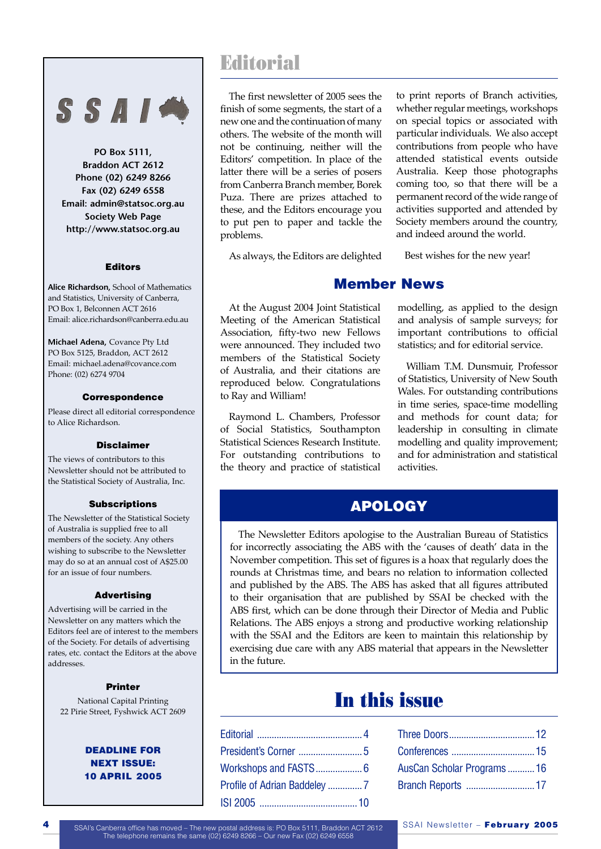# SSAIM

**PO Box 5111, Braddon ACT 2612 Phone (02) 6249 8266 Fax (02) 6249 6558 Email: admin@statsoc.org.au Society Web Page http://www.statsoc.org.au**

#### Editors

**Alice Richardson,** School of Mathematics and Statistics, University of Canberra, PO Box 1, Belconnen ACT 2616 Email: alice.richardson@canberra.edu.au

**Michael Adena,** Covance Pty Ltd PO Box 5125, Braddon, ACT 2612 Email: michael.adena@covance.com Phone: (02) 6274 9704

#### Correspondence

Please direct all editorial correspondence to Alice Richardson.

#### Disclaimer

The views of contributors to this Newsletter should not be attributed to the Statistical Society of Australia, Inc.

#### **Subscriptions**

The Newsletter of the Statistical Society of Australia is supplied free to all members of the society. Any others wishing to subscribe to the Newsletter may do so at an annual cost of A\$25.00 for an issue of four numbers.

#### Advertising

Advertising will be carried in the Newsletter on any matters which the Editors feel are of interest to the members of the Society. For details of advertising rates, etc. contact the Editors at the above addresses.

#### Printer

National Capital Printing 22 Pirie Street, Fyshwick ACT 2609

#### DEADLINE FOR NEXT ISSUE: 10 APRIL 2005

# **Editorial**

The first newsletter of 2005 sees the finish of some segments, the start of a new one and the continuation of many others. The website of the month will not be continuing, neither will the Editors' competition. In place of the latter there will be a series of posers from Canberra Branch member, Borek Puza. There are prizes attached to these, and the Editors encourage you to put pen to paper and tackle the problems.

As always, the Editors are delighted

to print reports of Branch activities, whether regular meetings, workshops on special topics or associated with particular individuals. We also accept contributions from people who have attended statistical events outside Australia. Keep those photographs coming too, so that there will be a permanent record of the wide range of activities supported and attended by Society members around the country, and indeed around the world.

Best wishes for the new year!

### Member News

At the August 2004 Joint Statistical Meeting of the American Statistical Association, fifty-two new Fellows were announced. They included two members of the Statistical Society of Australia, and their citations are reproduced below. Congratulations to Ray and William!

Raymond L. Chambers, Professor of Social Statistics, Southampton Statistical Sciences Research Institute. For outstanding contributions to the theory and practice of statistical modelling, as applied to the design and analysis of sample surveys; for important contributions to official statistics; and for editorial service.

William T.M. Dunsmuir, Professor of Statistics, University of New South Wales. For outstanding contributions in time series, space-time modelling and methods for count data; for leadership in consulting in climate modelling and quality improvement; and for administration and statistical activities.

# APOLOGY

The Newsletter Editors apologise to the Australian Bureau of Statistics for incorrectly associating the ABS with the 'causes of death' data in the November competition. This set of figures is a hoax that regularly does the rounds at Christmas time, and bears no relation to information collected and published by the ABS. The ABS has asked that all figures attributed to their organisation that are published by SSAI be checked with the ABS first, which can be done through their Director of Media and Public Relations. The ABS enjoys a strong and productive working relationship with the SSAI and the Editors are keen to maintain this relationship by exercising due care with any ABS material that appears in the Newsletter in the future.

# In this issue

| AusCan Scholar Programs16 |  |
|---------------------------|--|
|                           |  |

4 SSAI's Canberra office has moved – The new postal address is: PO Box 5111, Braddon ACT 2612 SSAI Newsletter – February 2005 The telephone remains the same (02) 6249 8266 – Our new Fax (02) 6249 6558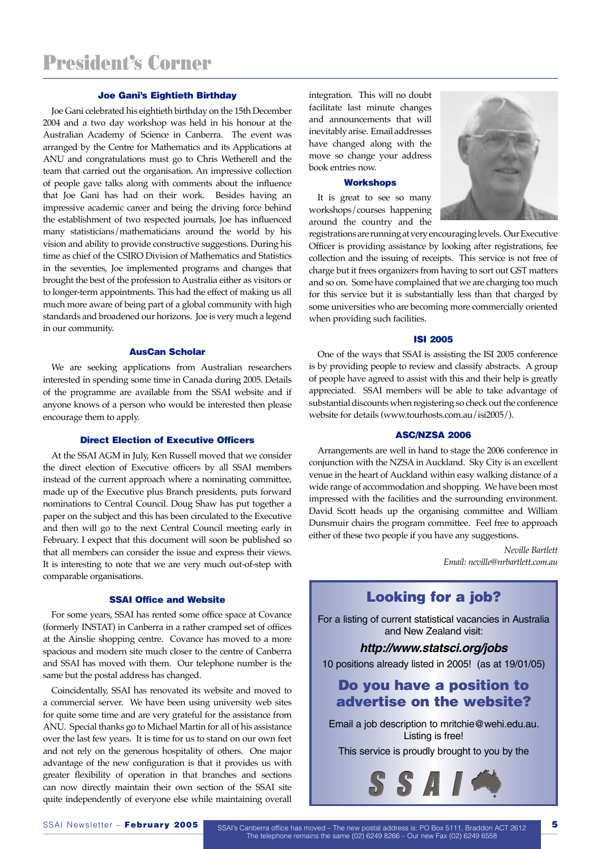#### Joe Gani's Eightieth Birthday

Joe Gani celebrated his eightieth birthday on the 15th December 2004 and a two day workshop was held in his honour at the Australian Academy of Science in Canberra. The event was arranged by the Centre for Mathematics and its Applications at ANU and congratulations must go to Chris Wetherell and the team that carried out the organisation. An impressive collection of people gave talks along with comments about the influence that Joe Gani has had on their work. Besides having an impressive academic career and being the driving force behind the establishment of two respected journals, Joe has influenced many statisticians/mathematicians around the world by his vision and ability to provide constructive suggestions. During his time as chief of the CSIRO Division of Mathematics and Statistics in the seventies, Joe implemented programs and changes that brought the best of the profession to Australia either as visitors or to longer-term appointments. This had the effect of making us all much more aware of being part of a global community with high standards and broadened our horizons. Joe is very much a legend in our community.

#### AusCan Scholar

We are seeking applications from Australian researchers interested in spending some time in Canada during 2005. Details of the programme are available from the SSAI website and if anyone knows of a person who would be interested then please encourage them to apply.

#### Direct Election of Executive Officers

At the SSAI AGM in July, Ken Russell moved that we consider the direct election of Executive officers by all SSAI members instead of the current approach where a nominating committee, made up of the Executive plus Branch presidents, puts forward nominations to Central Council. Doug Shaw has put together a paper on the subject and this has been circulated to the Executive and then will go to the next Central Council meeting early in February. I expect that this document will soon be published so that all members can consider the issue and express their views. It is interesting to note that we are very much out-of-step with comparable organisations.

#### SSAI Office and Website

For some years, SSAI has rented some office space at Covance (formerly INSTAT) in Canberra in a rather cramped set of offices at the Ainslie shopping centre. Covance has moved to a more spacious and modern site much closer to the centre of Canberra and SSAI has moved with them. Our telephone number is the same but the postal address has changed.

Coincidentally, SSAI has renovated its website and moved to a commercial server. We have been using university web sites for quite some time and are very grateful for the assistance from ANU. Special thanks go to Michael Martin for all of his assistance over the last few years. It is time for us to stand on our own feet and not rely on the generous hospitality of others. One major advantage of the new configuration is that it provides us with greater flexibility of operation in that branches and sections can now directly maintain their own section of the SSAI site quite independently of everyone else while maintaining overall

integration. This will no doubt facilitate last minute changes and announcements that will inevitably arise. Email addresses have changed along with the move so change your address book entries now.

#### **Workshops**

It is great to see so many workshops/courses happening around the country and the



registrations are running at very encouraging levels. Our Executive Officer is providing assistance by looking after registrations, fee collection and the issuing of receipts. This service is not free of charge but it frees organizers from having to sort out GST matters and so on. Some have complained that we are charging too much for this service but it is substantially less than that charged by some universities who are becoming more commercially oriented when providing such facilities.

#### ISI 2005

One of the ways that SSAI is assisting the ISI 2005 conference is by providing people to review and classify abstracts. A group of people have agreed to assist with this and their help is greatly appreciated. SSAI members will be able to take advantage of substantial discounts when registering so check out the conference website for details (www.tourhosts.com.au/isi2005/).

#### ASC/NZSA 2006

Arrangements are well in hand to stage the 2006 conference in conjunction with the NZSA in Auckland. Sky City is an excellent venue in the heart of Auckland within easy walking distance of a wide range of accommodation and shopping. We have been most impressed with the facilities and the surrounding environment. David Scott heads up the organising committee and William Dunsmuir chairs the program committee. Feel free to approach either of these two people if you have any suggestions.

> *Neville Bartlett Email: neville@nrbartlett.com.au*

### Looking for a job?

For a listing of current statistical vacancies in Australia and New Zealand visit:

#### **http://www.statsci.org/jobs**

10 positions already listed in 2005! (as at 19/01/05)

## Do you have a position to advertise on the website?

Email a job description to mritchie@wehi.edu.au. Listing is free!

This service is proudly brought to you by the



SSAI Newsletter – February 2005 SSAI's Canberra office has moved – The new postal address is: PO Box 5111, Braddon ACT 2612 The telephone remains the same (02) 6249 8266 – Our new Fax (02) 6249 6558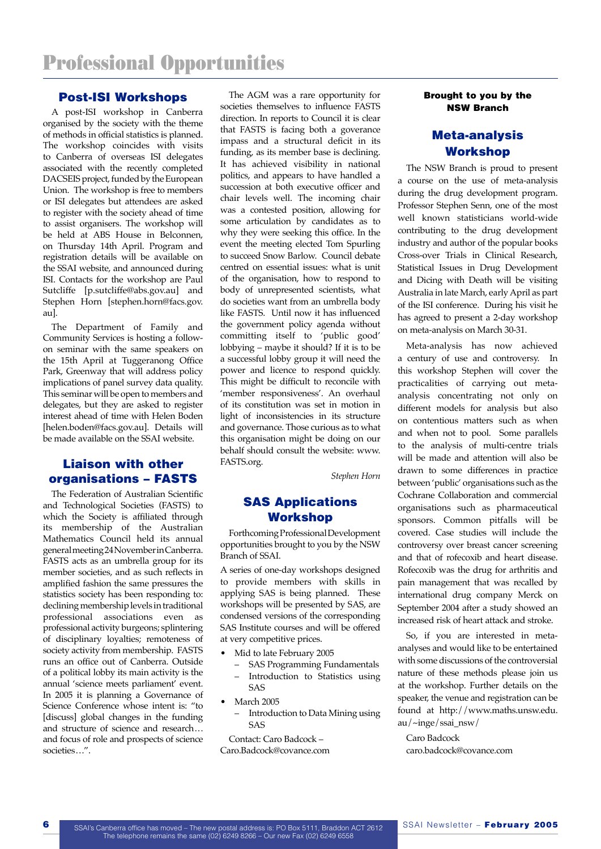#### Post-ISI Workshops

A post-ISI workshop in Canberra organised by the society with the theme of methods in official statistics is planned. The workshop coincides with visits to Canberra of overseas ISI delegates associated with the recently completed DACSEIS project, funded by the European Union. The workshop is free to members or ISI delegates but attendees are asked to register with the society ahead of time to assist organisers. The workshop will be held at ABS House in Belconnen, on Thursday 14th April. Program and registration details will be available on the SSAI website, and announced during ISI. Contacts for the workshop are Paul Sutcliffe [p.sutcliffe@abs.gov.au] and Stephen Horn [stephen.horn@facs.gov. au].

The Department of Family and Community Services is hosting a followon seminar with the same speakers on the 15th April at Tuggeranong Office Park, Greenway that will address policy implications of panel survey data quality. This seminar will be open to members and delegates, but they are asked to register interest ahead of time with Helen Boden [helen.boden@facs.gov.au]. Details will be made available on the SSAI website.

### Liaison with other organisations – FASTS

The Federation of Australian Scientific and Technological Societies (FASTS) to which the Society is affiliated through its membership of the Australian Mathematics Council held its annual general meeting 24 November in Canberra. FASTS acts as an umbrella group for its member societies, and as such reflects in amplified fashion the same pressures the statistics society has been responding to: declining membership levels in traditional professional associations even as professional activity burgeons; splintering of disciplinary loyalties; remoteness of society activity from membership. FASTS runs an office out of Canberra. Outside of a political lobby its main activity is the annual 'science meets parliament' event. In 2005 it is planning a Governance of Science Conference whose intent is: "to [discuss] global changes in the funding and structure of science and research... and focus of role and prospects of science societies ...".

The AGM was a rare opportunity for societies themselves to influence FASTS direction. In reports to Council it is clear that FASTS is facing both a goverance impass and a structural deficit in its funding, as its member base is declining. It has achieved visibility in national politics, and appears to have handled a succession at both executive officer and chair levels well. The incoming chair was a contested position, allowing for some articulation by candidates as to why they were seeking this office. In the event the meeting elected Tom Spurling to succeed Snow Barlow. Council debate centred on essential issues: what is unit of the organisation, how to respond to body of unrepresented scientists, what do societies want from an umbrella body like FASTS. Until now it has influenced the government policy agenda without committing itself to 'public good' lobbying – maybe it should? If it is to be a successful lobby group it will need the power and licence to respond quickly. This might be difficult to reconcile with 'member responsiveness'. An overhaul of its constitution was set in motion in light of inconsistencies in its structure and governance. Those curious as to what this organisation might be doing on our behalf should consult the website: www. FASTS.org.

*Stephen Horn*

### SAS Applications Workshop

Forthcoming Professional Development opportunities brought to you by the NSW Branch of SSAI.

A series of one-day workshops designed to provide members with skills in applying SAS is being planned. These workshops will be presented by SAS, are condensed versions of the corresponding SAS Institute courses and will be offered at very competitive prices.

- Mid to late February 2005
	- SAS Programming Fundamentals – Introduction to Statistics using SAS
- March 2005
	- Introduction to Data Mining using SAS

Contact: Caro Badcock – Caro.Badcock@covance.com

#### Brought to you by the NSW Branch

### Meta-analysis Workshop

The NSW Branch is proud to present a course on the use of meta-analysis during the drug development program. Professor Stephen Senn, one of the most well known statisticians world-wide contributing to the drug development industry and author of the popular books Cross-over Trials in Clinical Research, Statistical Issues in Drug Development and Dicing with Death will be visiting Australia in late March, early April as part of the ISI conference. During his visit he has agreed to present a 2-day workshop on meta-analysis on March 30-31.

Meta-analysis has now achieved a century of use and controversy. In this workshop Stephen will cover the practicalities of carrying out metaanalysis concentrating not only on different models for analysis but also on contentious matters such as when and when not to pool. Some parallels to the analysis of multi-centre trials will be made and attention will also be drawn to some differences in practice between 'public' organisations such as the Cochrane Collaboration and commercial organisations such as pharmaceutical sponsors. Common pitfalls will be covered. Case studies will include the controversy over breast cancer screening and that of rofecoxib and heart disease. Rofecoxib was the drug for arthritis and pain management that was recalled by international drug company Merck on September 2004 after a study showed an increased risk of heart attack and stroke.

So, if you are interested in metaanalyses and would like to be entertained with some discussions of the controversial nature of these methods please join us at the workshop. Further details on the speaker, the venue and registration can be found at http://www.maths.unsw.edu. au/~inge/ssai\_nsw/

Caro Badcock caro.badcock@covance.com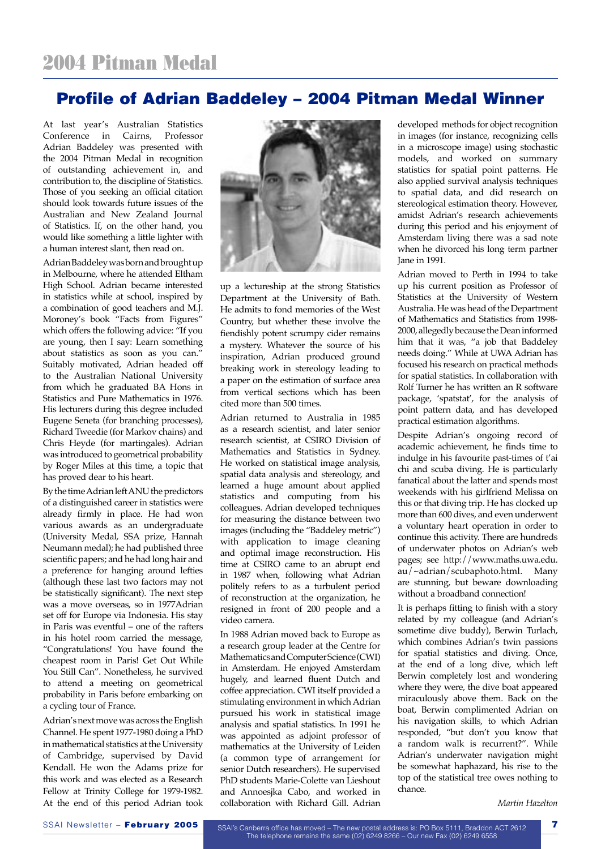# Profile of Adrian Baddeley – 2004 Pitman Medal Winner

At last year's Australian Statistics Conference in Cairns, Professor Adrian Baddeley was presented with the 2004 Pitman Medal in recognition of outstanding achievement in, and contribution to, the discipline of Statistics. Those of you seeking an official citation should look towards future issues of the Australian and New Zealand Journal of Statistics. If, on the other hand, you would like something a little lighter with a human interest slant, then read on.

Adrian Baddeley was born and brought up in Melbourne, where he attended Eltham High School. Adrian became interested in statistics while at school, inspired by a combination of good teachers and M.J. Moroney's book "Facts from Figures" which offers the following advice: "If you are young, then I say: Learn something about statistics as soon as you can." Suitably motivated, Adrian headed off to the Australian National University from which he graduated BA Hons in Statistics and Pure Mathematics in 1976. His lecturers during this degree included Eugene Seneta (for branching processes), Richard Tweedie (for Markov chains) and Chris Heyde (for martingales). Adrian was introduced to geometrical probability by Roger Miles at this time, a topic that has proved dear to his heart.

By the time Adrian left ANU the predictors of a distinguished career in statistics were already firmly in place. He had won various awards as an undergraduate (University Medal, SSA prize, Hannah Neumann medal); he had published three scientific papers; and he had long hair and a preference for hanging around lefties (although these last two factors may not be statistically significant). The next step was a move overseas, so in 1977Adrian set off for Europe via Indonesia. His stay in Paris was eventful – one of the rafters in his hotel room carried the message, "Congratulations! You have found the cheapest room in Paris! Get Out While You Still Can". Nonetheless, he survived to attend a meeting on geometrical probability in Paris before embarking on a cycling tour of France.

Adrian's next move was across the English Channel. He spent 1977-1980 doing a PhD in mathematical statistics at the University of Cambridge, supervised by David Kendall. He won the Adams prize for this work and was elected as a Research Fellow at Trinity College for 1979-1982. At the end of this period Adrian took



up a lectureship at the strong Statistics Department at the University of Bath. He admits to fond memories of the West Country, but whether these involve the fiendishly potent scrumpy cider remains a mystery. Whatever the source of his inspiration, Adrian produced ground breaking work in stereology leading to a paper on the estimation of surface area from vertical sections which has been cited more than 500 times.

Adrian returned to Australia in 1985 as a research scientist, and later senior research scientist, at CSIRO Division of Mathematics and Statistics in Sydney. He worked on statistical image analysis, spatial data analysis and stereology, and learned a huge amount about applied statistics and computing from his colleagues. Adrian developed techniques for measuring the distance between two images (including the "Baddeley metric") with application to image cleaning and optimal image reconstruction. His time at CSIRO came to an abrupt end in 1987 when, following what Adrian politely refers to as a turbulent period of reconstruction at the organization, he resigned in front of 200 people and a video camera.

In 1988 Adrian moved back to Europe as a research group leader at the Centre for Mathematics and Computer Science (CWI) in Amsterdam. He enjoyed Amsterdam hugely, and learned fluent Dutch and coffee appreciation. CWI itself provided a stimulating environment in which Adrian pursued his work in statistical image analysis and spatial statistics. In 1991 he was appointed as adjoint professor of mathematics at the University of Leiden (a common type of arrangement for senior Dutch researchers). He supervised PhD students Marie-Colette van Lieshout and Annoesjka Cabo, and worked in collaboration with Richard Gill. Adrian

developed methods for object recognition in images (for instance, recognizing cells in a microscope image) using stochastic models, and worked on summary statistics for spatial point patterns. He also applied survival analysis techniques to spatial data, and did research on stereological estimation theory. However, amidst Adrian's research achievements during this period and his enjoyment of Amsterdam living there was a sad note when he divorced his long term partner Jane in 1991.

Adrian moved to Perth in 1994 to take up his current position as Professor of Statistics at the University of Western Australia. He was head of the Department of Mathematics and Statistics from 1998- 2000, allegedly because the Dean informed him that it was, "a job that Baddeley needs doing." While at UWA Adrian has focused his research on practical methods for spatial statistics. In collaboration with Rolf Turner he has written an R software package, 'spatstat', for the analysis of point pattern data, and has developed practical estimation algorithms.

Despite Adrian's ongoing record of academic achievement, he finds time to indulge in his favourite past-times of t'ai chi and scuba diving. He is particularly fanatical about the latter and spends most weekends with his girlfriend Melissa on this or that diving trip. He has clocked up more than 600 dives, and even underwent a voluntary heart operation in order to continue this activity. There are hundreds of underwater photos on Adrian's web pages; see http://www.maths.uwa.edu. au/~adrian/scubaphoto.html. Many are stunning, but beware downloading without a broadband connection!

It is perhaps fitting to finish with a story related by my colleague (and Adrian's sometime dive buddy), Berwin Turlach, which combines Adrian's twin passions for spatial statistics and diving. Once, at the end of a long dive, which left Berwin completely lost and wondering where they were, the dive boat appeared miraculously above them. Back on the boat, Berwin complimented Adrian on his navigation skills, to which Adrian responded, "but don't you know that a random walk is recurrent?". While Adrian's underwater navigation might be somewhat haphazard, his rise to the top of the statistical tree owes nothing to chance.

*Martin Hazelton*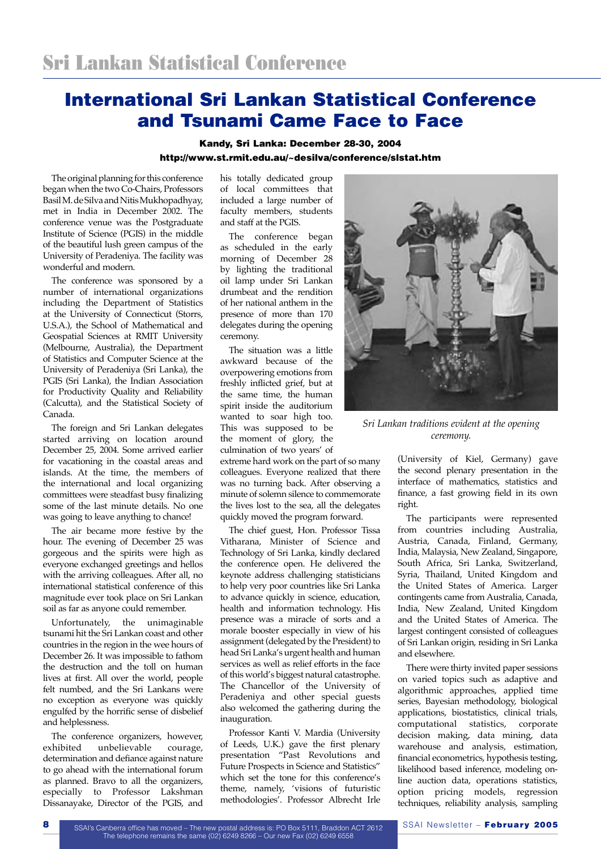# International Sri Lankan Statistical Conference and Tsunami Came Face to Face

#### Kandy, Sri Lanka: December 28-30, 2004 http://www.st.rmit.edu.au/~desilva/conference/slstat.htm

The original planning for this conference began when the two Co-Chairs, Professors Basil M. de Silva and Nitis Mukhopadhyay, met in India in December 2002. The conference venue was the Postgraduate Institute of Science (PGIS) in the middle of the beautiful lush green campus of the University of Peradeniya. The facility was wonderful and modern.

The conference was sponsored by a number of international organizations including the Department of Statistics at the University of Connecticut (Storrs, U.S.A.), the School of Mathematical and Geospatial Sciences at RMIT University (Melbourne, Australia), the Department of Statistics and Computer Science at the University of Peradeniya (Sri Lanka), the PGIS (Sri Lanka), the Indian Association for Productivity Quality and Reliability (Calcutta), and the Statistical Society of Canada.

The foreign and Sri Lankan delegates started arriving on location around December 25, 2004. Some arrived earlier for vacationing in the coastal areas and islands. At the time, the members of the international and local organizing committees were steadfast busy finalizing some of the last minute details. No one was going to leave anything to chance!

The air became more festive by the hour. The evening of December 25 was gorgeous and the spirits were high as everyone exchanged greetings and hellos with the arriving colleagues. After all, no international statistical conference of this magnitude ever took place on Sri Lankan soil as far as anyone could remember.

Unfortunately, the unimaginable tsunami hit the Sri Lankan coast and other countries in the region in the wee hours of December 26. It was impossible to fathom the destruction and the toll on human lives at first. All over the world, people felt numbed, and the Sri Lankans were no exception as everyone was quickly engulfed by the horrific sense of disbelief and helplessness.

The conference organizers, however,<br>exhibited unbelievable courage, unbelievable determination and defiance against nature to go ahead with the international forum as planned. Bravo to all the organizers, especially to Professor Lakshman Dissanayake, Director of the PGIS, and

his totally dedicated group of local committees that included a large number of faculty members, students and staff at the PGIS.

The conference began as scheduled in the early morning of December 28 by lighting the traditional oil lamp under Sri Lankan drumbeat and the rendition of her national anthem in the presence of more than 170 delegates during the opening ceremony.

The situation was a little awkward because of the overpowering emotions from freshly inflicted grief, but at the same time, the human spirit inside the auditorium wanted to soar high too. This was supposed to be the moment of glory, the culmination of two years' of

extreme hard work on the part of so many colleagues. Everyone realized that there was no turning back. After observing a minute of solemn silence to commemorate the lives lost to the sea, all the delegates quickly moved the program forward.

The chief guest, Hon. Professor Tissa Vitharana, Minister of Science and Technology of Sri Lanka, kindly declared the conference open. He delivered the keynote address challenging statisticians to help very poor countries like Sri Lanka to advance quickly in science, education, health and information technology. His presence was a miracle of sorts and a morale booster especially in view of his assignment (delegated by the President) to head Sri Lanka's urgent health and human services as well as relief efforts in the face of this world's biggest natural catastrophe. The Chancellor of the University of Peradeniya and other special guests also welcomed the gathering during the inauguration.

Professor Kanti V. Mardia (University of Leeds, U.K.) gave the first plenary presentation "Past Revolutions and Future Prospects in Science and Statistics" which set the tone for this conference's theme, namely, 'visions of futuristic methodologies'. Professor Albrecht Irle



*Sri Lankan traditions evident at the opening ceremony.*

(University of Kiel, Germany) gave the second plenary presentation in the interface of mathematics, statistics and finance, a fast growing field in its own right.

The participants were represented from countries including Australia, Austria, Canada, Finland, Germany, India, Malaysia, New Zealand, Singapore, South Africa, Sri Lanka, Switzerland, Syria, Thailand, United Kingdom and the United States of America. Larger contingents came from Australia, Canada, India, New Zealand, United Kingdom and the United States of America. The largest contingent consisted of colleagues of Sri Lankan origin, residing in Sri Lanka and elsewhere.

There were thirty invited paper sessions on varied topics such as adaptive and algorithmic approaches, applied time series, Bayesian methodology, biological applications, biostatistics, clinical trials, computational statistics, corporate decision making, data mining, data warehouse and analysis, estimation, financial econometrics, hypothesis testing, likelihood based inference, modeling online auction data, operations statistics, option pricing models, regression techniques, reliability analysis, sampling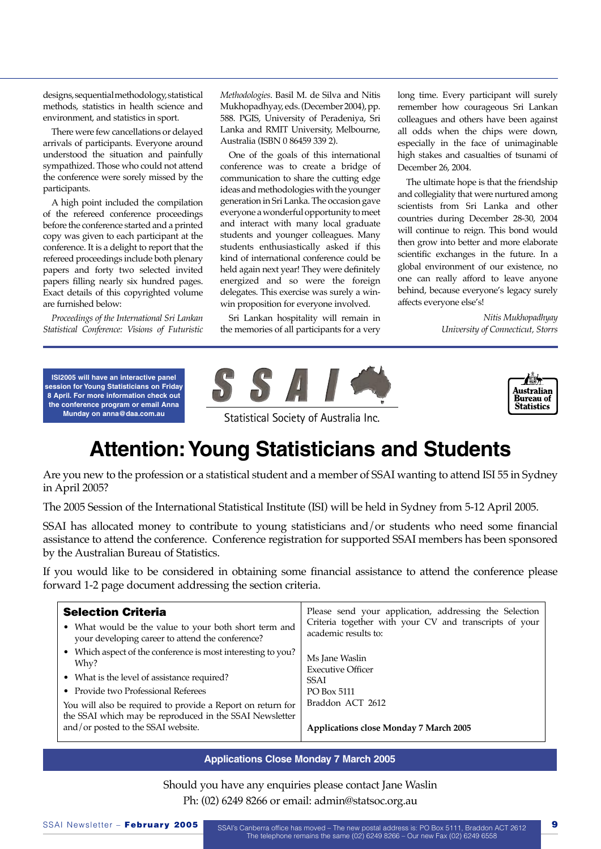designs, sequential methodology, statistical methods, statistics in health science and environment, and statistics in sport.

There were few cancellations or delayed arrivals of participants. Everyone around understood the situation and painfully sympathized. Those who could not attend the conference were sorely missed by the participants.

A high point included the compilation of the refereed conference proceedings before the conference started and a printed copy was given to each participant at the conference. It is a delight to report that the refereed proceedings include both plenary papers and forty two selected invited papers filling nearly six hundred pages. Exact details of this copyrighted volume are furnished below:

*Proceedings of the International Sri Lankan Statistical Conference: Visions of Futuristic*  *Methodologies*. Basil M. de Silva and Nitis Mukhopadhyay, eds. (December 2004), pp. 588. PGIS, University of Peradeniya, Sri Lanka and RMIT University, Melbourne, Australia (ISBN 0 86459 339 2).

One of the goals of this international conference was to create a bridge of communication to share the cutting edge ideas and methodologies with the younger generation in Sri Lanka. The occasion gave everyone a wonderful opportunity to meet and interact with many local graduate students and younger colleagues. Many students enthusiastically asked if this kind of international conference could be held again next year! They were definitely energized and so were the foreign delegates. This exercise was surely a winwin proposition for everyone involved.

Sri Lankan hospitality will remain in the memories of all participants for a very

long time. Every participant will surely remember how courageous Sri Lankan colleagues and others have been against all odds when the chips were down, especially in the face of unimaginable high stakes and casualties of tsunami of December 26, 2004.

The ultimate hope is that the friendship and collegiality that were nurtured among scientists from Sri Lanka and other countries during December 28-30, 2004 will continue to reign. This bond would then grow into better and more elaborate scientific exchanges in the future. In a global environment of our existence, no one can really afford to leave anyone behind, because everyone's legacy surely affects everyone else's!

> *Nitis Mukhopadhyay University of Connecticut, Storrs*

**ISI2005 will have an interactive panel session for Young Statisticians on Friday 8 April. For more information check out the conference program or email Anna Munday on anna@daa.com.au**





Statistical Society of Australia Inc.

# **Attention: Young Statisticians and Students**

Are you new to the profession or a statistical student and a member of SSAI wanting to attend ISI 55 in Sydney in April 2005?

The 2005 Session of the International Statistical Institute (ISI) will be held in Sydney from 5-12 April 2005.

SSAI has allocated money to contribute to young statisticians and/or students who need some financial assistance to attend the conference. Conference registration for supported SSAI members has been sponsored by the Australian Bureau of Statistics.

If you would like to be considered in obtaining some financial assistance to attend the conference please forward 1-2 page document addressing the section criteria.

| <b>Selection Criteria</b>                                                                                                                                    | Please send your application, addressing the Selection     |
|--------------------------------------------------------------------------------------------------------------------------------------------------------------|------------------------------------------------------------|
| • What would be the value to your both short term and                                                                                                        | Criteria together with your CV and transcripts of your     |
| your developing career to attend the conference?                                                                                                             | academic results to:                                       |
| • Which aspect of the conference is most interesting to you?                                                                                                 | Ms Jane Waslin                                             |
| Why?                                                                                                                                                         | <b>Executive Officer</b>                                   |
| • What is the level of assistance required?                                                                                                                  | <b>SSAI</b>                                                |
| • Provide two Professional Referees                                                                                                                          | PO Box 5111                                                |
| You will also be required to provide a Report on return for<br>the SSAI which may be reproduced in the SSAI Newsletter<br>and/or posted to the SSAI website. | Braddon ACT 2612<br>Applications close Monday 7 March 2005 |

#### **Applications Close Monday 7 March 2005**

Should you have any enquiries please contact Jane Waslin Ph: (02) 6249 8266 or email: admin@statsoc.org.au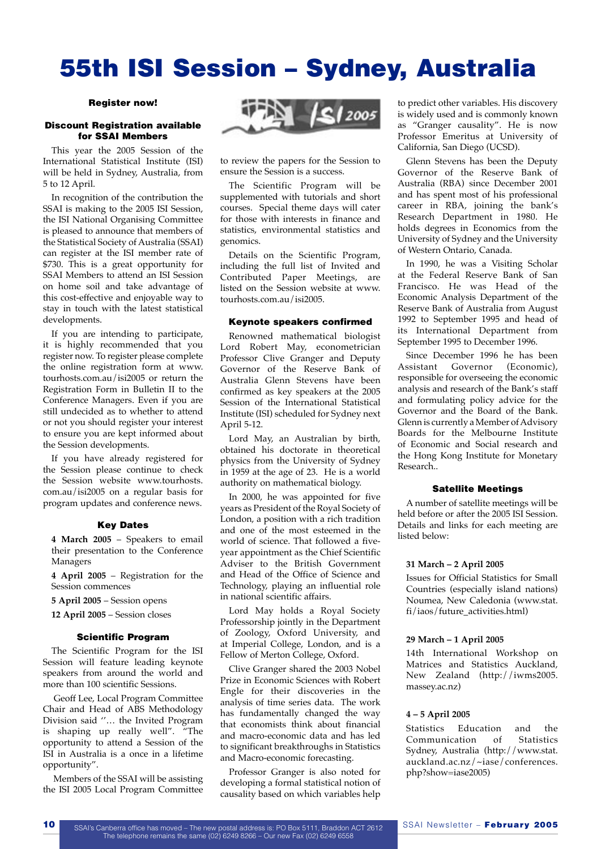# 55th ISI Session – Sydney, Australia

#### Register now!

#### Discount Registration available for SSAI Members

This year the 2005 Session of the International Statistical Institute (ISI) will be held in Sydney, Australia, from 5 to 12 April.

In recognition of the contribution the SSAI is making to the 2005 ISI Session, the ISI National Organising Committee is pleased to announce that members of the Statistical Society of Australia (SSAI) can register at the ISI member rate of \$730. This is a great opportunity for SSAI Members to attend an ISI Session on home soil and take advantage of this cost-effective and enjoyable way to stay in touch with the latest statistical developments.

If you are intending to participate, it is highly recommended that you register now. To register please complete the online registration form at www. tourhosts.com.au/isi2005 or return the Registration Form in Bulletin II to the Conference Managers. Even if you are still undecided as to whether to attend or not you should register your interest to ensure you are kept informed about the Session developments.

If you have already registered for the Session please continue to check the Session website www.tourhosts. com.au/isi2005 on a regular basis for program updates and conference news.

#### Key Dates

 **4 March 2005** – Speakers to email their presentation to the Conference Managers

 **4 April 2005** – Registration for the Session commences

**5 April 2005** – Session opens

**12 April 2005** – Session closes

#### Scientific Program

The Scientific Program for the ISI Session will feature leading keynote speakers from around the world and more than 100 scientific Sessions.

 Geoff Lee, Local Program Committee Chair and Head of ABS Methodology Division said ''… the Invited Program is shaping up really well". "The opportunity to attend a Session of the ISI in Australia is a once in a lifetime opportunity".

 Members of the SSAI will be assisting the ISI 2005 Local Program Committee



to review the papers for the Session to ensure the Session is a success.

The Scientific Program will be supplemented with tutorials and short courses. Special theme days will cater for those with interests in finance and statistics, environmental statistics and genomics.

Details on the Scientific Program, including the full list of Invited and Contributed Paper Meetings, are listed on the Session website at www. tourhosts.com.au/isi2005.

#### Keynote speakers confirmed

Renowned mathematical biologist Lord Robert May, econometrician Professor Clive Granger and Deputy Governor of the Reserve Bank of Australia Glenn Stevens have been confirmed as key speakers at the 2005 Session of the International Statistical Institute (ISI) scheduled for Sydney next April 5-12.

Lord May, an Australian by birth, obtained his doctorate in theoretical physics from the University of Sydney in 1959 at the age of 23. He is a world authority on mathematical biology.

In 2000, he was appointed for five years as President of the Royal Society of London, a position with a rich tradition and one of the most esteemed in the world of science. That followed a fiveyear appointment as the Chief Scientific Adviser to the British Government and Head of the Office of Science and Technology, playing an influential role in national scientific affairs.

Lord May holds a Royal Society Professorship jointly in the Department of Zoology, Oxford University, and at Imperial College, London, and is a Fellow of Merton College, Oxford.

Clive Granger shared the 2003 Nobel Prize in Economic Sciences with Robert Engle for their discoveries in the analysis of time series data. The work has fundamentally changed the way that economists think about financial and macro-economic data and has led to significant breakthroughs in Statistics and Macro-economic forecasting.

Professor Granger is also noted for developing a formal statistical notion of causality based on which variables help to predict other variables. His discovery is widely used and is commonly known as "Granger causality". He is now Professor Emeritus at University of California, San Diego (UCSD).

Glenn Stevens has been the Deputy Governor of the Reserve Bank of Australia (RBA) since December 2001 and has spent most of his professional career in RBA, joining the bank's Research Department in 1980. He holds degrees in Economics from the University of Sydney and the University of Western Ontario, Canada.

In 1990, he was a Visiting Scholar at the Federal Reserve Bank of San Francisco. He was Head of the Economic Analysis Department of the Reserve Bank of Australia from August 1992 to September 1995 and head of its International Department from September 1995 to December 1996.

Since December 1996 he has been Assistant Governor (Economic), responsible for overseeing the economic analysis and research of the Bank's staff and formulating policy advice for the Governor and the Board of the Bank. Glenn is currently a Member of Advisory Boards for the Melbourne Institute of Economic and Social research and the Hong Kong Institute for Monetary Research..

#### Satellite Meetings

A number of satellite meetings will be held before or after the 2005 ISI Session. Details and links for each meeting are listed below:

#### **31 March – 2 April 2005**

 Issues for Official Statistics for Small Countries (especially island nations) Noumea, New Caledonia (www.stat. fi/iaos/future\_activities.html)

#### **29 March – 1 April 2005**

 14th International Workshop on Matrices and Statistics Auckland, New Zealand (http://iwms2005. massey.ac.nz)

#### **4 – 5 April 2005**

Statistics Education and the<br>Communication of Statistics Communication of Sydney, Australia (http://www.stat. auckland.ac.nz/~iase/conferences. php?show=iase2005)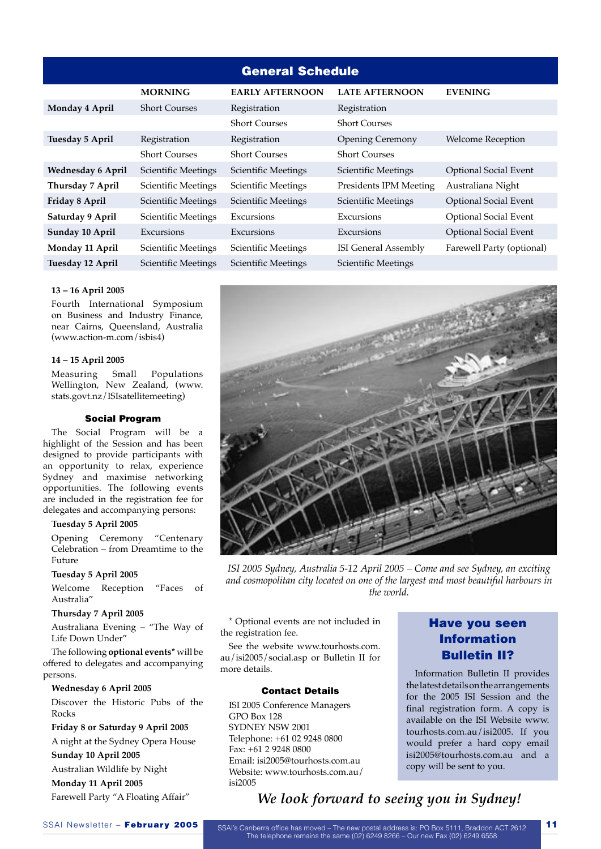| <b>General Schedule</b>  |                      |                            |                             |                              |  |
|--------------------------|----------------------|----------------------------|-----------------------------|------------------------------|--|
|                          | <b>MORNING</b>       | <b>EARLY AFTERNOON</b>     | <b>LATE AFTERNOON</b>       | <b>EVENING</b>               |  |
| Monday 4 April           | <b>Short Courses</b> | Registration               | Registration                |                              |  |
|                          |                      | <b>Short Courses</b>       | <b>Short Courses</b>        |                              |  |
| Tuesday 5 April          | Registration         | Registration               | <b>Opening Ceremony</b>     | <b>Welcome Reception</b>     |  |
|                          | <b>Short Courses</b> | <b>Short Courses</b>       | <b>Short Courses</b>        |                              |  |
| <b>Wednesday 6 April</b> | Scientific Meetings  | <b>Scientific Meetings</b> | Scientific Meetings         | <b>Optional Social Event</b> |  |
| Thursday 7 April         | Scientific Meetings  | Scientific Meetings        | Presidents IPM Meeting      | Australiana Night            |  |
| Friday 8 April           | Scientific Meetings  | <b>Scientific Meetings</b> | Scientific Meetings         | <b>Optional Social Event</b> |  |
| Saturday 9 April         | Scientific Meetings  | Excursions                 | Excursions                  | <b>Optional Social Event</b> |  |
| Sunday 10 April          | Excursions           | Excursions                 | Excursions                  | <b>Optional Social Event</b> |  |
| Monday 11 April          | Scientific Meetings  | Scientific Meetings        | <b>ISI</b> General Assembly | Farewell Party (optional)    |  |
| Tuesday 12 April         | Scientific Meetings  | Scientific Meetings        | Scientific Meetings         |                              |  |

#### **13 – 16 April 2005**

 Fourth International Symposium on Business and Industry Finance, near Cairns, Queensland, Australia (www.action-m.com/isbis4)

#### **14 – 15 April 2005**

 Measuring Small Populations Wellington, New Zealand, (www. stats.govt.nz/ISIsatellitemeeting)

#### Social Program

The Social Program will be a highlight of the Session and has been designed to provide participants with an opportunity to relax, experience Sydney and maximise networking opportunities. The following events are included in the registration fee for delegates and accompanying persons:

#### **Tuesday 5 April 2005**

 Opening Ceremony "Centenary Celebration – from Dreamtime to the Future

#### **Tuesday 5 April 2005**

Welcome Reception "Faces of Australia"

#### **Thursday 7 April 2005**

 Australiana Evening – "The Way of Life Down Under"

The following **optional events\*** will be offered to delegates and accompanying persons.

#### **Wednesday 6 April 2005**

 Discover the Historic Pubs of the Rocks

**Friday 8 or Saturday 9 April 2005**

A night at the Sydney Opera House

### **Sunday 10 April 2005**

Australian Wildlife by Night

**Monday 11 April 2005**

Farewell Party "A Floating Affair"



*ISI 2005 Sydney, Australia 5-12 April 2005 – Come and see Sydney, an exciting and cosmopolitan city located on one of the largest and most beautiful harbours in the world.*

\* Optional events are not included in the registration fee.

See the website www.tourhosts.com. au/isi2005/social.asp or Bulletin II for more details.

#### Contact Details

ISI 2005 Conference Managers GPO Box 128 SYDNEY NSW 2001 Telephone: +61 02 9248 0800 Fax: +61 2 9248 0800 Email: isi2005@tourhosts.com.au Website: www.tourhosts.com.au/ isi2005

### Have you seen Information Bulletin II?

Information Bulletin II provides the latest details on the arrangements for the 2005 ISI Session and the final registration form. A copy is available on the ISI Website www. tourhosts.com.au/isi2005. If you would prefer a hard copy email isi2005@tourhosts.com.au and a copy will be sent to you.

# *We look forward to seeing you in Sydney!*

SSAI Newsletter – February 2005 SSAI's Canberra office has moved – The new postal address is: PO Box 5111, Braddon ACT 2612 The telephone remains the same (02) 6249 8266 – Our new Fax (02) 6249 6558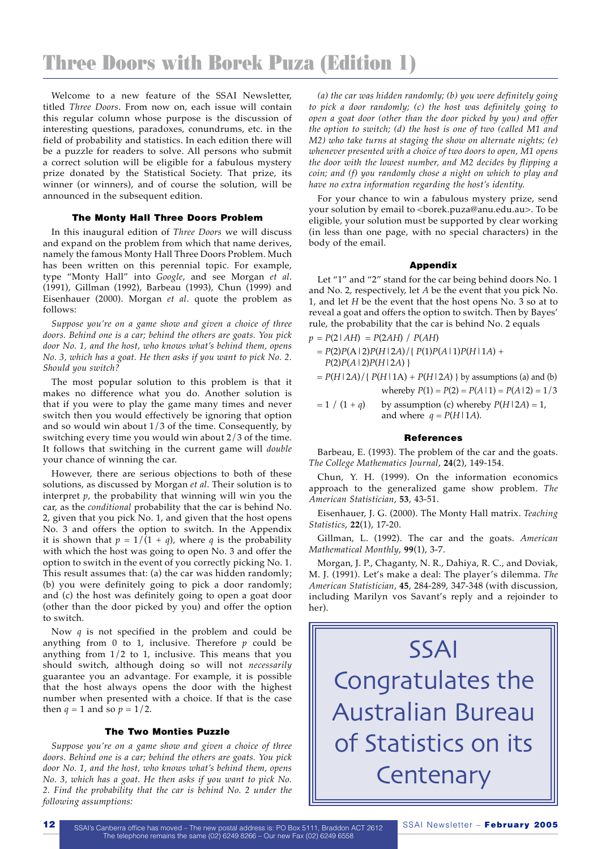Welcome to a new feature of the SSAI Newsletter, titled *Three Doors*. From now on, each issue will contain this regular column whose purpose is the discussion of interesting questions, paradoxes, conundrums, etc. in the field of probability and statistics. In each edition there will be a puzzle for readers to solve. All persons who submit a correct solution will be eligible for a fabulous mystery prize donated by the Statistical Society. That prize, its winner (or winners), and of course the solution, will be announced in the subsequent edition.

#### The Monty Hall Three Doors Problem

In this inaugural edition of *Three Doors* we will discuss and expand on the problem from which that name derives, namely the famous Monty Hall Three Doors Problem. Much has been written on this perennial topic. For example, type "Monty Hall" into *Google*, and see Morgan *et al*. (1991), Gillman (1992), Barbeau (1993), Chun (1999) and Eisenhauer (2000). Morgan *et al*. quote the problem as follows:

*Suppose you're on a game show and given a choice of three doors. Behind one is a car; behind the others are goats. You pick door No. 1, and the host, who knows what's behind them, opens No. 3, which has a goat. He then asks if you want to pick No. 2. Should you switch?*

The most popular solution to this problem is that it makes no difference what you do. Another solution is that if you were to play the game many times and never switch then you would effectively be ignoring that option and so would win about 1/3 of the time. Consequently, by switching every time you would win about 2/3 of the time. It follows that switching in the current game will *double* your chance of winning the car.

However, there are serious objections to both of these solutions, as discussed by Morgan *et al*. Their solution is to interpret *p*, the probability that winning will win you the car, as the *conditional* probability that the car is behind No. 2, given that you pick No. 1, and given that the host opens No. 3 and offers the option to switch. In the Appendix it is shown that  $p = 1/(1 + q)$ , where *q* is the probability with which the host was going to open No. 3 and offer the option to switch in the event of you correctly picking No. 1. This result assumes that: (a) the car was hidden randomly; (b) you were definitely going to pick a door randomly; and (c) the host was definitely going to open a goat door (other than the door picked by you) and offer the option to switch.

Now *q* is not specified in the problem and could be anything from 0 to 1, inclusive. Therefore *p* could be anything from 1/2 to 1, inclusive. This means that you should switch, although doing so will not *necessarily* guarantee you an advantage. For example, it is possible that the host always opens the door with the highest number when presented with a choice. If that is the case then  $q = 1$  and so  $p = 1/2$ .

#### The Two Monties Puzzle

*Suppose you're on a game show and given a choice of three doors. Behind one is a car; behind the others are goats. You pick door No. 1, and the host, who knows what's behind them, opens No. 3, which has a goat. He then asks if you want to pick No. 2. Find the probability that the car is behind No. 2 under the following assumptions:* 

*(a) the car was hidden randomly; (b) you were definitely going to pick a door randomly; (c) the host was definitely going to open a goat door (other than the door picked by you) and offer the option to switch; (d) the host is one of two (called M1 and M2) who take turns at staging the show on alternate nights; (e) whenever presented with a choice of two doors to open, M1 opens the door with the lowest number, and M2 decides by flipping a coin; and (f) you randomly chose a night on which to play and have no extra information regarding the host's identity.* 

For your chance to win a fabulous mystery prize, send your solution by email to <br/>borek.puza@anu.edu.au>. To be eligible, your solution must be supported by clear working (in less than one page, with no special characters) in the body of the email.

#### Appendix

Let "1" and "2" stand for the car being behind doors No. 1 and No. 2, respectively, let *A* be the event that you pick No. 1, and let *H* be the event that the host opens No. 3 so at to reveal a goat and offers the option to switch. Then by Bayes' rule, the probability that the car is behind No. 2 equals

- $p = P(2|AH) = P(2AH) / P(AH)$ 
	- $= P(2)P(A|2)P(H|2A)/{P(1)P(A|1)P(H|1A)} +$ *P*(2)*P*(*A*|2)*P*(*H*|2*A*) }
	- $= P(H|2A)/{P(H|1A) + P(H|2A)}$  by assumptions (a) and (b) whereby  $P(1) = P(2) = P(A | 1) = P(A | 2) = 1/3$
	- $= 1 / (1 + q)$  by assumption (c) whereby  $P(H | 2A) = 1$ , and where  $q = P(H | 1A)$ .

#### **References**

Barbeau, E. (1993). The problem of the car and the goats. *The College Mathematics Journal*, **24**(2), 149-154.

Chun, Y. H. (1999). On the information economics approach to the generalized game show problem. *The American Statistician*, **53**, 43-51.

Eisenhauer, J. G. (2000). The Monty Hall matrix. *Teaching Statistics*, **22**(1), 17-20.

Gillman, L. (1992). The car and the goats. *American Mathematical Monthly*, **99**(1), 3-7.

Morgan, J. P., Chaganty, N. R., Dahiya, R. C., and Doviak, M. J. (1991). Let's make a deal: The player's dilemma. *The American Statistician*, **45**, 284-289, 347-348 (with discussion, including Marilyn vos Savant's reply and a rejoinder to her).

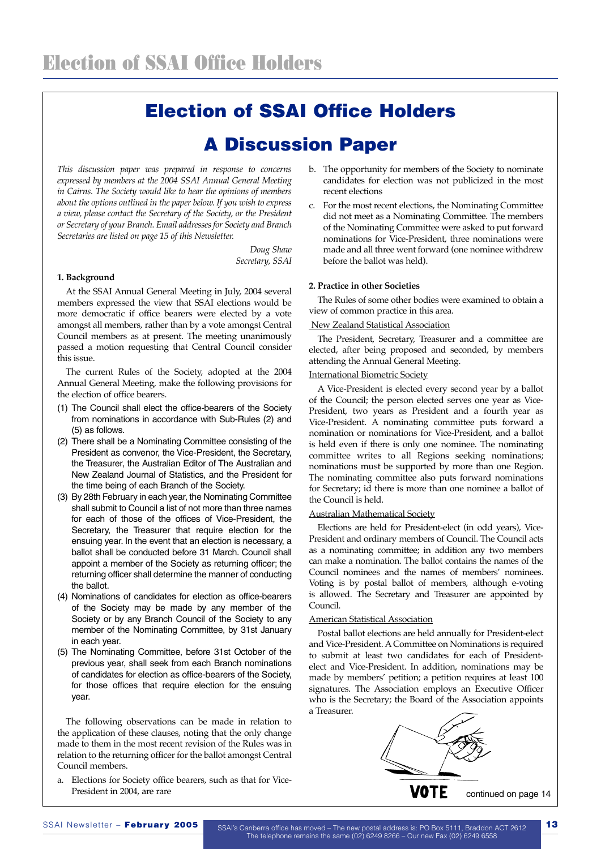# Election of SSAI Office Holders

# A Discussion Paper

*This discussion paper was prepared in response to concerns expressed by members at the 2004 SSAI Annual General Meeting in Cairns. The Society would like to hear the opinions of members about the options outlined in the paper below. If you wish to express a view, please contact the Secretary of the Society, or the President or Secretary of your Branch. Email addresses for Society and Branch Secretaries are listed on page 15 of this Newsletter.* 

> *Doug Shaw Secretary, SSAI*

#### **1. Background**

At the SSAI Annual General Meeting in July, 2004 several members expressed the view that SSAI elections would be more democratic if office bearers were elected by a vote amongst all members, rather than by a vote amongst Central Council members as at present. The meeting unanimously passed a motion requesting that Central Council consider this issue.

The current Rules of the Society, adopted at the 2004 Annual General Meeting, make the following provisions for the election of office bearers.

- (1) The Council shall elect the office-bearers of the Society from nominations in accordance with Sub-Rules (2) and (5) as follows.
- (2) There shall be a Nominating Committee consisting of the President as convenor, the Vice-President, the Secretary, the Treasurer, the Australian Editor of The Australian and New Zealand Journal of Statistics, and the President for the time being of each Branch of the Society.
- (3) By 28th February in each year, the Nominating Committee shall submit to Council a list of not more than three names for each of those of the offices of Vice-President, the Secretary, the Treasurer that require election for the ensuing year. In the event that an election is necessary, a ballot shall be conducted before 31 March. Council shall appoint a member of the Society as returning officer; the returning officer shall determine the manner of conducting the ballot.
- (4) Nominations of candidates for election as office-bearers of the Society may be made by any member of the Society or by any Branch Council of the Society to any member of the Nominating Committee, by 31st January in each year.
- (5) The Nominating Committee, before 31st October of the previous year, shall seek from each Branch nominations of candidates for election as office-bearers of the Society, for those offices that require election for the ensuing year.

The following observations can be made in relation to the application of these clauses, noting that the only change made to them in the most recent revision of the Rules was in relation to the returning officer for the ballot amongst Central Council members.

a. Elections for Society office bearers, such as that for Vice-President in 2004, are rare

- b. The opportunity for members of the Society to nominate candidates for election was not publicized in the most recent elections
- c. For the most recent elections, the Nominating Committee did not meet as a Nominating Committee. The members of the Nominating Committee were asked to put forward nominations for Vice-President, three nominations were made and all three went forward (one nominee withdrew before the ballot was held).

#### **2. Practice in other Societies**

The Rules of some other bodies were examined to obtain a view of common practice in this area.

#### New Zealand Statistical Association

The President, Secretary, Treasurer and a committee are elected, after being proposed and seconded, by members attending the Annual General Meeting.

#### International Biometric Society

A Vice-President is elected every second year by a ballot of the Council; the person elected serves one year as Vice-President, two years as President and a fourth year as Vice-President. A nominating committee puts forward a nomination or nominations for Vice-President, and a ballot is held even if there is only one nominee. The nominating committee writes to all Regions seeking nominations; nominations must be supported by more than one Region. The nominating committee also puts forward nominations for Secretary; id there is more than one nominee a ballot of the Council is held.

#### Australian Mathematical Society

Elections are held for President-elect (in odd years), Vice-President and ordinary members of Council. The Council acts as a nominating committee; in addition any two members can make a nomination. The ballot contains the names of the Council nominees and the names of members' nominees. Voting is by postal ballot of members, although e-voting is allowed. The Secretary and Treasurer are appointed by Council.

#### American Statistical Association

Postal ballot elections are held annually for President-elect and Vice-President. A Committee on Nominations is required to submit at least two candidates for each of Presidentelect and Vice-President. In addition, nominations may be made by members' petition; a petition requires at least 100 signatures. The Association employs an Executive Officer who is the Secretary; the Board of the Association appoints a Treasurer.



SSAI Newsletter – February 2005 SSAI's Canberra office has moved – The new postal address is: PO Box 5111, Braddon ACT 2612 13 The telephone remains the same (02) 6249 8266 – Our new Fax (02) 6249 6558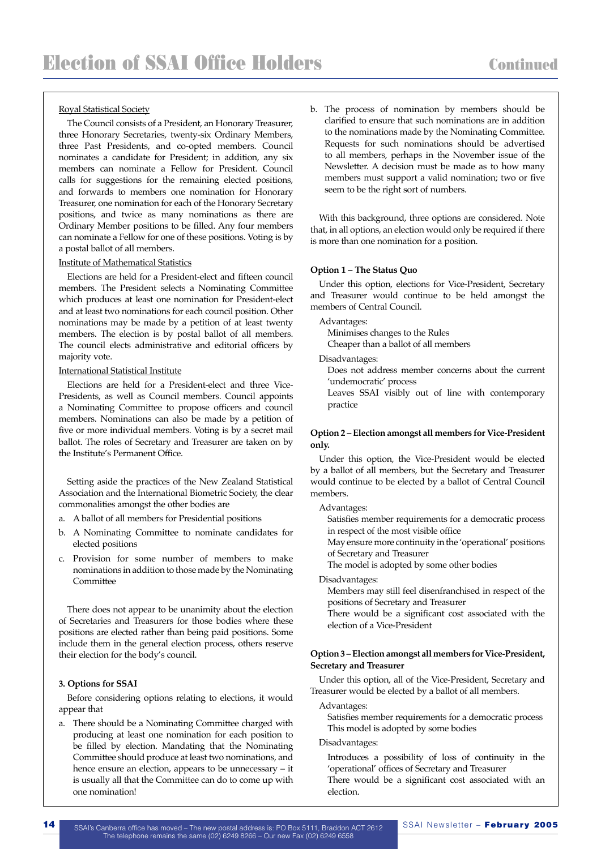#### Royal Statistical Society

The Council consists of a President, an Honorary Treasurer, three Honorary Secretaries, twenty-six Ordinary Members, three Past Presidents, and co-opted members. Council nominates a candidate for President; in addition, any six members can nominate a Fellow for President. Council calls for suggestions for the remaining elected positions, and forwards to members one nomination for Honorary Treasurer, one nomination for each of the Honorary Secretary positions, and twice as many nominations as there are Ordinary Member positions to be filled. Any four members can nominate a Fellow for one of these positions. Voting is by a postal ballot of all members.

#### Institute of Mathematical Statistics

Elections are held for a President-elect and fifteen council members. The President selects a Nominating Committee which produces at least one nomination for President-elect and at least two nominations for each council position. Other nominations may be made by a petition of at least twenty members. The election is by postal ballot of all members. The council elects administrative and editorial officers by majority vote.

#### International Statistical Institute

Elections are held for a President-elect and three Vice-Presidents, as well as Council members. Council appoints a Nominating Committee to propose officers and council members. Nominations can also be made by a petition of five or more individual members. Voting is by a secret mail ballot. The roles of Secretary and Treasurer are taken on by the Institute's Permanent Office.

Setting aside the practices of the New Zealand Statistical Association and the International Biometric Society, the clear commonalities amongst the other bodies are

- a. A ballot of all members for Presidential positions
- b. A Nominating Committee to nominate candidates for elected positions
- c. Provision for some number of members to make nominations in addition to those made by the Nominating Committee

There does not appear to be unanimity about the election of Secretaries and Treasurers for those bodies where these positions are elected rather than being paid positions. Some include them in the general election process, others reserve their election for the body's council.

#### **3. Options for SSAI**

Before considering options relating to elections, it would appear that

a. There should be a Nominating Committee charged with producing at least one nomination for each position to be filled by election. Mandating that the Nominating Committee should produce at least two nominations, and hence ensure an election, appears to be unnecessary – it is usually all that the Committee can do to come up with one nomination!

b. The process of nomination by members should be clarified to ensure that such nominations are in addition to the nominations made by the Nominating Committee. Requests for such nominations should be advertised to all members, perhaps in the November issue of the Newsletter. A decision must be made as to how many members must support a valid nomination; two or five seem to be the right sort of numbers.

With this background, three options are considered. Note that, in all options, an election would only be required if there is more than one nomination for a position.

#### **Option 1 – The Status Quo**

Under this option, elections for Vice-President, Secretary and Treasurer would continue to be held amongst the members of Central Council.

Advantages:

Minimises changes to the Rules

Cheaper than a ballot of all members

Disadvantages:

Does not address member concerns about the current 'undemocratic' process

Leaves SSAI visibly out of line with contemporary practice

#### **Option 2 – Election amongst all members for Vice-President only.**

Under this option, the Vice-President would be elected by a ballot of all members, but the Secretary and Treasurer would continue to be elected by a ballot of Central Council members.

Advantages:

Satisfies member requirements for a democratic process in respect of the most visible office

May ensure more continuity in the 'operational' positions of Secretary and Treasurer

The model is adopted by some other bodies

Disadvantages:

Members may still feel disenfranchised in respect of the positions of Secretary and Treasurer

There would be a significant cost associated with the election of a Vice-President

#### **Option 3 – Election amongst all members for Vice-President, Secretary and Treasurer**

Under this option, all of the Vice-President, Secretary and Treasurer would be elected by a ballot of all members.

Advantages:

Satisfies member requirements for a democratic process This model is adopted by some bodies

#### Disadvantages:

Introduces a possibility of loss of continuity in the 'operational' offices of Secretary and Treasurer

There would be a significant cost associated with an election.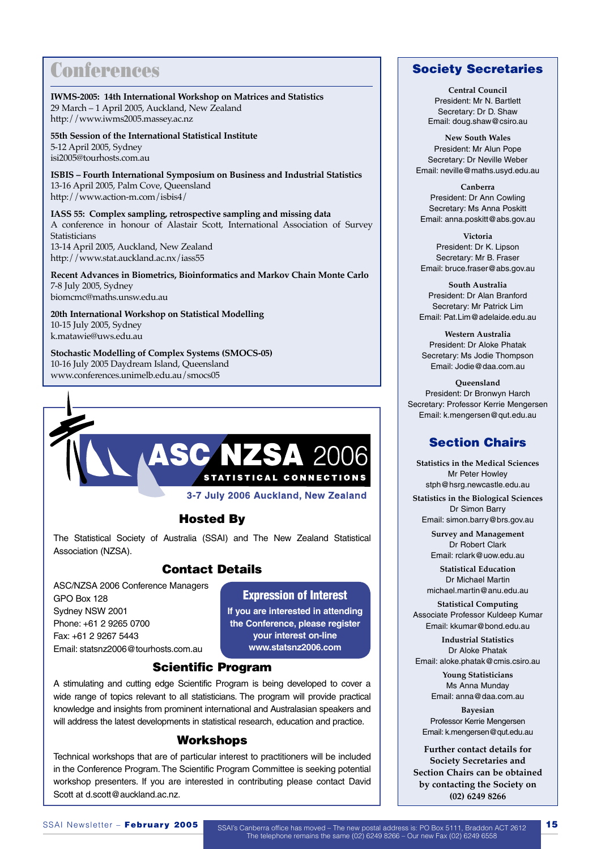# **Conferences**

**IWMS-2005: 14th International Workshop on Matrices and Statistics** 29 March – 1 April 2005, Auckland, New Zealand http://www.iwms2005.massey.ac.nz

**55th Session of the International Statistical Institute** 5-12 April 2005, Sydney isi2005@tourhosts.com.au

**ISBIS – Fourth International Symposium on Business and Industrial Statistics** 13-16 April 2005, Palm Cove, Queensland http://www.action-m.com/isbis4/

**IASS 55: Complex sampling, retrospective sampling and missing data** A conference in honour of Alastair Scott, International Association of Survey Statisticians 13-14 April 2005, Auckland, New Zealand http://www.stat.auckland.ac.nx/iass55

**Recent Advances in Biometrics, Bioinformatics and Markov Chain Monte Carlo** 7-8 July 2005, Sydney biomcmc@maths.unsw.edu.au

**20th International Workshop on Statistical Modelling** 10-15 July 2005, Sydney k.matawie@uws.edu.au

**Stochastic Modelling of Complex Systems (SMOCS-05)** 10-16 July 2005 Daydream Island, Queensland www.conferences.unimelb.edu.au/smocs05



3-7 July 2006 Auckland, New Zealand

### Hosted By

The Statistical Society of Australia (SSAI) and The New Zealand Statistical Association (NZSA).

### Contact Details

ASC/NZSA 2006 Conference Managers GPO Box 128 Sydney NSW 2001 Phone: +61 2 9265 0700 Fax: +61 2 9267 5443 Email: statsnz2006@tourhosts.com.au

### Expression of Interest

**If you are interested in attending the Conference, please register your interest on-line www.statsnz2006.com**

### Scientific Program

A stimulating and cutting edge Scientific Program is being developed to cover a wide range of topics relevant to all statisticians. The program will provide practical knowledge and insights from prominent international and Australasian speakers and will address the latest developments in statistical research, education and practice.

#### Workshops

Technical workshops that are of particular interest to practitioners will be included in the Conference Program. The Scientific Program Committee is seeking potential workshop presenters. If you are interested in contributing please contact David Scott at d.scott@auckland.ac.nz.

### Society Secretaries

**Central Council** President: Mr N. Bartlett Secretary: Dr D. Shaw Email: doug.shaw@csiro.au

**New South Wales** President: Mr Alun Pope Secretary: Dr Neville Weber Email: neville@maths.usyd.edu.au

**Canberra** President: Dr Ann Cowling Secretary: Ms Anna Poskitt Email: anna.poskitt@abs.gov.au

**Victoria** President: Dr K. Lipson Secretary: Mr B. Fraser Email: bruce.fraser@abs.gov.au

**South Australia** President: Dr Alan Branford Secretary: Mr Patrick Lim Email: Pat.Lim@adelaide.edu.au

**Western Australia** President: Dr Aloke Phatak Secretary: Ms Jodie Thompson Email: Jodie@daa.com.au

**Queensland** President: Dr Bronwyn Harch Secretary: Professor Kerrie Mengersen Email: k.mengersen@qut.edu.au

### Section Chairs

**Statistics in the Medical Sciences** Mr Peter Howley stph@hsrg.newcastle.edu.au

**Statistics in the Biological Sciences** Dr Simon Barry Email: simon.barry@brs.gov.au

> **Survey and Management** Dr Robert Clark Email: rclark@uow.edu.au

**Statistical Education** Dr Michael Martin michael.martin@anu.edu.au

**Statistical Computing** Associate Professor Kuldeep Kumar Email: kkumar@bond.edu.au

**Industrial Statistics** Dr Aloke Phatak Email: aloke.phatak@cmis.csiro.au

> **Young Statisticians** Ms Anna Munday Email: anna@daa.com.au

**Bayesian** Professor Kerrie Mengersen Email: k.mengersen@qut.edu.au

**Further contact details for Society Secretaries and Section Chairs can be obtained by contacting the Society on (02) 6249 8266**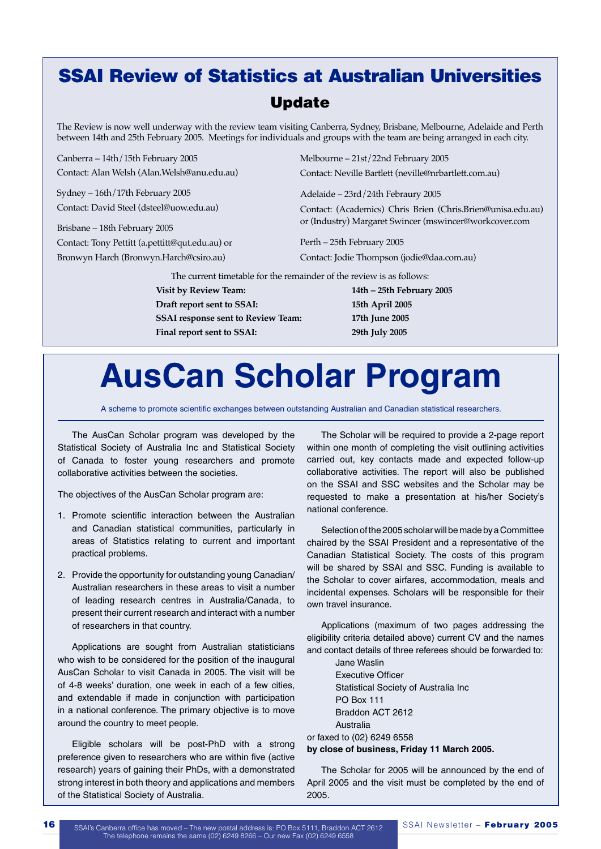# SSAI Review of Statistics at Australian Universities Update

The Review is now well underway with the review team visiting Canberra, Sydney, Brisbane, Melbourne, Adelaide and Perth between 14th and 25th February 2005. Meetings for individuals and groups with the team are being arranged in each city.

Canberra – 14th/15th February 2005 Contact: Alan Welsh (Alan.Welsh@anu.edu.au)

Sydney – 16th/17th February 2005 Contact: David Steel (dsteel@uow.edu.au)

Brisbane – 18th February 2005 Contact: Tony Pettitt (a.pettitt@qut.edu.au) or Bronwyn Harch (Bronwyn.Harch@csiro.au)

Melbourne – 21st/22nd February 2005 Contact: Neville Bartlett (neville@nrbartlett.com.au)

Adelaide – 23rd/24th Febraury 2005

Contact: (Academics) Chris Brien (Chris.Brien@unisa.edu.au) or (Industry) Margaret Swincer (mswincer@workcover.com

Perth – 25th February 2005 Contact: Jodie Thompson (jodie@daa.com.au)

The current timetable for the remainder of the review is as follows:

**Visit by Review Team: 14th – 25th February 2005 Draft report sent to SSAI: 15th April 2005 SSAI response sent to Review Team: 17th June 2005 Final report sent to SSAI: 29th July 2005**

# **AusCan Scholar Program**

A scheme to promote scientific exchanges between outstanding Australian and Canadian statistical researchers.

The AusCan Scholar program was developed by the Statistical Society of Australia Inc and Statistical Society of Canada to foster young researchers and promote collaborative activities between the societies.

The objectives of the AusCan Scholar program are:

- 1. Promote scientific interaction between the Australian and Canadian statistical communities, particularly in areas of Statistics relating to current and important practical problems.
- 2. Provide the opportunity for outstanding young Canadian/ Australian researchers in these areas to visit a number of leading research centres in Australia/Canada, to present their current research and interact with a number of researchers in that country.

Applications are sought from Australian statisticians who wish to be considered for the position of the inaugural AusCan Scholar to visit Canada in 2005. The visit will be of 4-8 weeks' duration, one week in each of a few cities, and extendable if made in conjunction with participation in a national conference. The primary objective is to move around the country to meet people.

Eligible scholars will be post-PhD with a strong preference given to researchers who are within five (active research) years of gaining their PhDs, with a demonstrated strong interest in both theory and applications and members of the Statistical Society of Australia.

The Scholar will be required to provide a 2-page report within one month of completing the visit outlining activities carried out, key contacts made and expected follow-up collaborative activities. The report will also be published on the SSAI and SSC websites and the Scholar may be requested to make a presentation at his/her Society's national conference.

Selection of the 2005 scholar will be made by a Committee chaired by the SSAI President and a representative of the Canadian Statistical Society. The costs of this program will be shared by SSAI and SSC. Funding is available to the Scholar to cover airfares, accommodation, meals and incidental expenses. Scholars will be responsible for their own travel insurance.

Applications (maximum of two pages addressing the eligibility criteria detailed above) current CV and the names and contact details of three referees should be forwarded to:

Jane Waslin Executive Officer Statistical Society of Australia Inc PO Box 111 Braddon ACT 2612 Australia or faxed to (02) 6249 6558

**by close of business, Friday 11 March 2005.**

The Scholar for 2005 will be announced by the end of April 2005 and the visit must be completed by the end of 2005.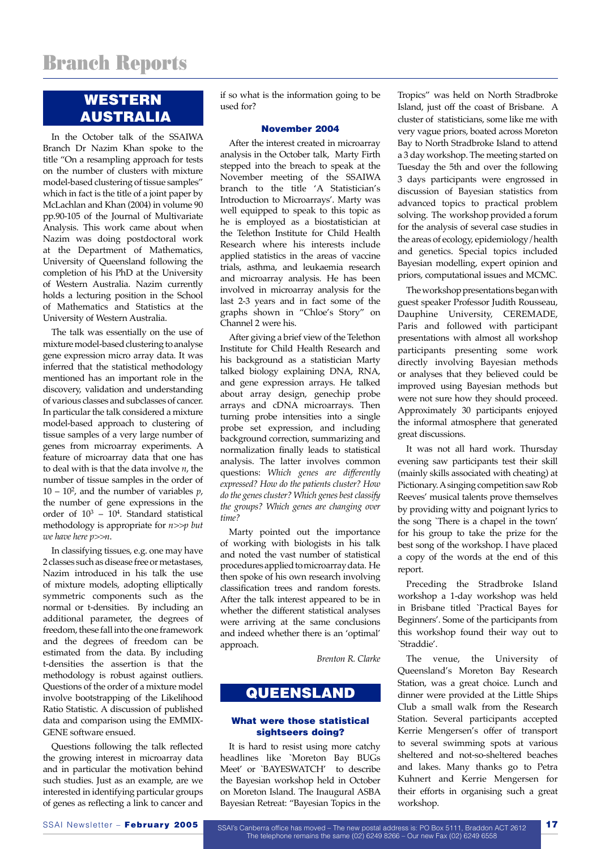# WESTERN AUSTRALIA

In the October talk of the SSAIWA Branch Dr Nazim Khan spoke to the title "On a resampling approach for tests on the number of clusters with mixture model-based clustering of tissue samples" which in fact is the title of a joint paper by McLachlan and Khan (2004) in volume 90 pp.90-105 of the Journal of Multivariate Analysis. This work came about when Nazim was doing postdoctoral work at the Department of Mathematics, University of Queensland following the completion of his PhD at the University of Western Australia. Nazim currently holds a lecturing position in the School of Mathematics and Statistics at the University of Western Australia.

The talk was essentially on the use of mixture model-based clustering to analyse gene expression micro array data. It was inferred that the statistical methodology mentioned has an important role in the discovery, validation and understanding of various classes and subclasses of cancer. In particular the talk considered a mixture model-based approach to clustering of tissue samples of a very large number of genes from microarray experiments. A feature of microarray data that one has to deal with is that the data involve *n*, the number of tissue samples in the order of  $10 - 10<sup>2</sup>$ , and the number of variables  $p$ , the number of gene expressions in the order of  $10^3 - 10^4$ . Standard statistical methodology is appropriate for *n>>p but we have here p>>n*.

In classifying tissues, e.g. one may have 2 classes such as disease free or metastases, Nazim introduced in his talk the use of mixture models, adopting elliptically symmetric components such as the normal or t-densities. By including an additional parameter, the degrees of freedom, these fall into the one framework and the degrees of freedom can be estimated from the data. By including t-densities the assertion is that the methodology is robust against outliers. Questions of the order of a mixture model involve bootstrapping of the Likelihood Ratio Statistic. A discussion of published data and comparison using the EMMIX-GENE software ensued.

Questions following the talk reflected the growing interest in microarray data and in particular the motivation behind such studies. Just as an example, are we interested in identifying particular groups of genes as reflecting a link to cancer and

if so what is the information going to be used for?

#### November 2004

After the interest created in microarray analysis in the October talk, Marty Firth stepped into the breach to speak at the November meeting of the SSAIWA branch to the title 'A Statistician's Introduction to Microarrays'. Marty was well equipped to speak to this topic as he is employed as a biostatistician at the Telethon Institute for Child Health Research where his interests include applied statistics in the areas of vaccine trials, asthma, and leukaemia research and microarray analysis. He has been involved in microarray analysis for the last 2-3 years and in fact some of the graphs shown in "Chloe's Story" on Channel 2 were his.

After giving a brief view of the Telethon Institute for Child Health Research and his background as a statistician Marty talked biology explaining DNA, RNA, and gene expression arrays. He talked about array design, genechip probe arrays and cDNA microarrays. Then turning probe intensities into a single probe set expression, and including background correction, summarizing and normalization finally leads to statistical analysis. The latter involves common questions: *Which genes are differently expressed? How do the patients cluster? How do the genes cluster? Which genes best classify the groups? Which genes are changing over time?*

Marty pointed out the importance of working with biologists in his talk and noted the vast number of statistical procedures applied to microarray data. He then spoke of his own research involving classification trees and random forests. After the talk interest appeared to be in whether the different statistical analyses were arriving at the same conclusions and indeed whether there is an 'optimal' approach.

*Brenton R. Clarke*

### QUEENSLAND

#### What were those statistical sightseers doing?

It is hard to resist using more catchy headlines like `Moreton Bay BUGs Meet' or `BAYESWATCH' to describe the Bayesian workshop held in October on Moreton Island. The Inaugural ASBA Bayesian Retreat: "Bayesian Topics in the Tropics" was held on North Stradbroke Island, just off the coast of Brisbane. A cluster of statisticians, some like me with very vague priors, boated across Moreton Bay to North Stradbroke Island to attend a 3 day workshop. The meeting started on Tuesday the 5th and over the following 3 days participants were engrossed in discussion of Bayesian statistics from advanced topics to practical problem solving. The workshop provided a forum for the analysis of several case studies in the areas of ecology, epidemiology/health and genetics. Special topics included Bayesian modelling, expert opinion and priors, computational issues and MCMC.

The workshop presentations began with guest speaker Professor Judith Rousseau, Dauphine University, CEREMADE, Paris and followed with participant presentations with almost all workshop participants presenting some work directly involving Bayesian methods or analyses that they believed could be improved using Bayesian methods but were not sure how they should proceed. Approximately 30 participants enjoyed the informal atmosphere that generated great discussions.

It was not all hard work. Thursday evening saw participants test their skill (mainly skills associated with cheating) at Pictionary. A singing competition saw Rob Reeves' musical talents prove themselves by providing witty and poignant lyrics to the song `There is a chapel in the town' for his group to take the prize for the best song of the workshop. I have placed a copy of the words at the end of this report.

Preceding the Stradbroke Island workshop a 1-day workshop was held in Brisbane titled `Practical Bayes for Beginners'. Some of the participants from this workshop found their way out to `Straddie'.

The venue, the University of Queensland's Moreton Bay Research Station, was a great choice. Lunch and dinner were provided at the Little Ships Club a small walk from the Research Station. Several participants accepted Kerrie Mengersen's offer of transport to several swimming spots at various sheltered and not-so-sheltered beaches and lakes. Many thanks go to Petra Kuhnert and Kerrie Mengersen for their efforts in organising such a great workshop.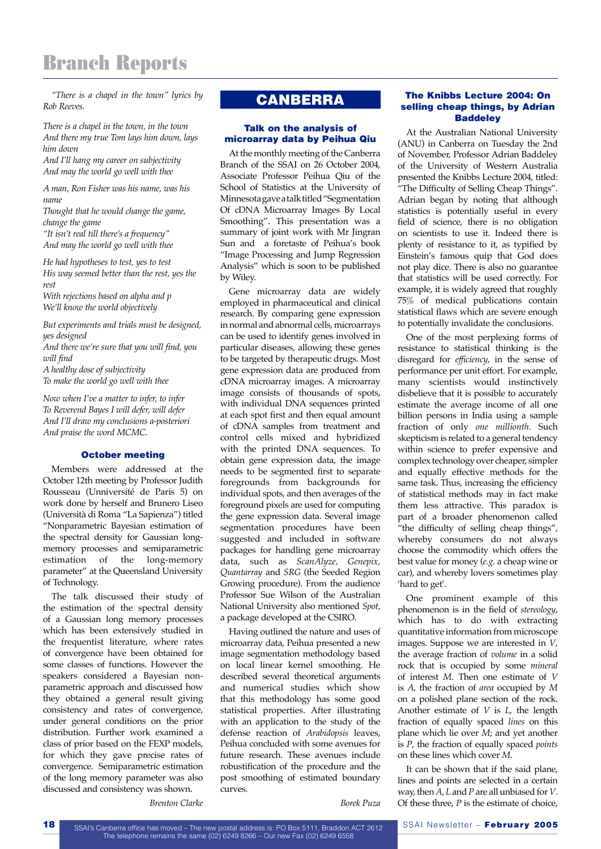# Branch Reports

*"There is a chapel in the town" lyrics by Rob Reeves.*

*There is a chapel in the town, in the town And there my true Tom lays him down, lays him down*

*And I'll hang my career on subjectivity And may the world go well with thee*

*A man, Ron Fisher was his name, was his name*

*Thought that he would change the game, change the game*

*"It isn't real till there's a frequency" And may the world go well with thee*

*He had hypotheses to test, yes to test His way seemed better than the rest, yes the rest With rejections based on alpha and p*

*We'll know the world objectively*

*But experiments and trials must be designed, yes designed*

*And there we're sure that you will find, you will find*

*A healthy dose of subjectivity To make the world go well with thee*

*Now when I've a matter to infer, to infer To Reverend Bayes I will defer, will defer And I'll draw my conclusions a-posteriori And praise the word MCMC.*

#### October meeting

Members were addressed at the October 12th meeting by Professor Judith Rousseau (Unniversité de Paris 5) on work done by herself and Brunero Liseo (Università di Roma "La Sapienza") titled "Nonparametric Bayesian estimation of the spectral density for Gaussian longmemory processes and semiparametric estimation of the long-memory parameter" at the Queensland University of Technology.

The talk discussed their study of the estimation of the spectral density of a Gaussian long memory processes which has been extensively studied in the frequentist literature, where rates of convergence have been obtained for some classes of functions. However the speakers considered a Bayesian nonparametric approach and discussed how they obtained a general result giving consistency and rates of convergence, under general conditions on the prior distribution. Further work examined a class of prior based on the FEXP models, for which they gave precise rates of convergence. Semiparametric estimation of the long memory parameter was also discussed and consistency was shown.

# **CANBERRA**

#### Talk on the analysis of microarray data by Peihua Qiu

At the monthly meeting of the Canberra Branch of the SSAI on 26 October 2004, Associate Professor Peihua Qiu of the School of Statistics at the University of Minnesota gave a talk titled "Segmentation Of cDNA Microarray Images By Local Smoothing". This presentation was a summary of joint work with Mr Jingran Sun and a foretaste of Peihua's book "Image Processing and Jump Regression Analysis" which is soon to be published by Wiley.

Gene microarray data are widely employed in pharmaceutical and clinical research. By comparing gene expression in normal and abnormal cells, microarrays can be used to identify genes involved in particular diseases, allowing these genes to be targeted by therapeutic drugs. Most gene expression data are produced from cDNA microarray images. A microarray image consists of thousands of spots, with individual DNA sequences printed at each spot first and then equal amount of cDNA samples from treatment and control cells mixed and hybridized with the printed DNA sequences. To obtain gene expression data, the image needs to be segmented first to separate foregrounds from backgrounds for individual spots, and then averages of the foreground pixels are used for computing the gene expression data. Several image segmentation procedures have been suggested and included in software packages for handling gene microarray data, such as *ScanAlyze, Genepix, Quantarray* and *SRG* (the Seeded Region Growing procedure). From the audience Professor Sue Wilson of the Australian National University also mentioned *Spot*, a package developed at the CSIRO.

Having outlined the nature and uses of microarray data, Peihua presented a new image segmentation methodology based on local linear kernel smoothing. He described several theoretical arguments and numerical studies which show that this methodology has some good statistical properties. After illustrating with an application to the study of the defense reaction of *Arabidopsis* leaves, Peihua concluded with some avenues for future research. These avenues include robustification of the procedure and the post smoothing of estimated boundary curves.

#### The Knibbs Lecture 2004: On selling cheap things, by Adrian **Baddeley**

At the Australian National University (ANU) in Canberra on Tuesday the 2nd of November, Professor Adrian Baddeley of the University of Western Australia presented the Knibbs Lecture 2004, titled: "The Difficulty of Selling Cheap Things". Adrian began by noting that although statistics is potentially useful in every field of science, there is no obligation on scientists to use it. Indeed there is plenty of resistance to it, as typified by Einstein's famous quip that God does not play dice. There is also no guarantee that statistics will be used correctly. For example, it is widely agreed that roughly 75% of medical publications contain statistical flaws which are severe enough to potentially invalidate the conclusions.

One of the most perplexing forms of resistance to statistical thinking is the disregard for *efficiency*, in the sense of performance per unit effort. For example, many scientists would instinctively disbelieve that it is possible to accurately estimate the average income of all one billion persons in India using a sample fraction of only *one millionth*. Such skepticism is related to a general tendency within science to prefer expensive and complex technology over cheaper, simpler and equally effective methods for the same task. Thus, increasing the efficiency of statistical methods may in fact make them less attractive. This paradox is part of a broader phenomenon called "the difficulty of selling cheap things", whereby consumers do not always choose the commodity which offers the best value for money (*e.g.* a cheap wine or car), and whereby lovers sometimes play 'hard to get'.

One prominent example of this phenomenon is in the field of *stereology*, which has to do with extracting quantitative information from microscope images. Suppose we are interested in *V*, the average fraction of *volume* in a solid rock that is occupied by some *mineral* of interest *M*. Then one estimate of *V* is *A*, the fraction of *area* occupied by *M* on a polished plane section of the rock. Another estimate of *V* is *L*, the length fraction of equally spaced *lines* on this plane which lie over *M*; and yet another is *P*, the fraction of equally spaced *points* on these lines which cover *M*.

It can be shown that if the said plane, lines and points are selected in a certain way, then *A*, *L* and *P* are all unbiased for *V*. Of these three, *P* is the estimate of choice,

*Borek Puza* 

*Brenton Clarke*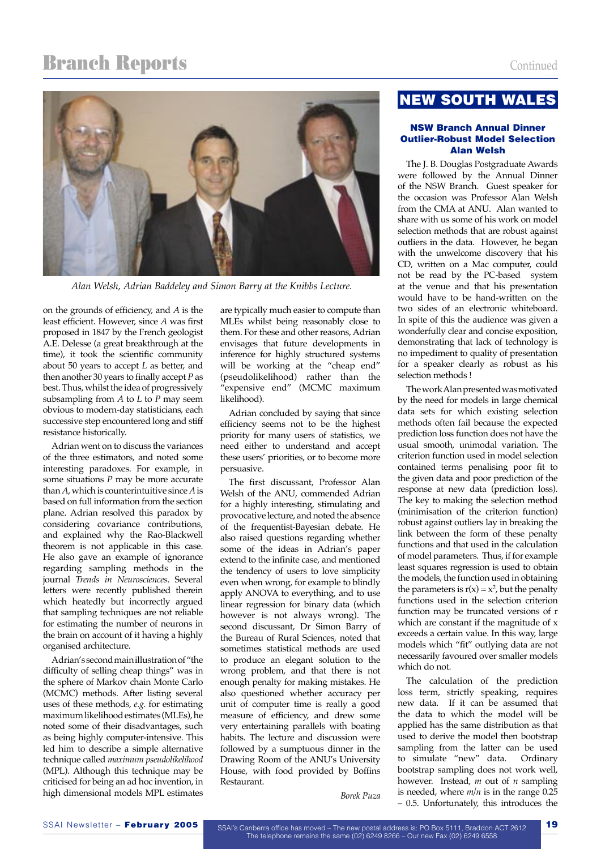# **Branch Reports** Continued



*Alan Welsh, Adrian Baddeley and Simon Barry at the Knibbs Lecture.*

on the grounds of efficiency, and *A* is the least efficient. However, since *A* was first proposed in 1847 by the French geologist A.E. Delesse (a great breakthrough at the time), it took the scientific community about 50 years to accept *L* as better, and then another 30 years to finally accept *P* as best. Thus, whilst the idea of progressively subsampling from *A* to *L* to *P* may seem obvious to modern-day statisticians, each successive step encountered long and stiff resistance historically.

Adrian went on to discuss the variances of the three estimators, and noted some interesting paradoxes. For example, in some situations *P* may be more accurate than *A*, which is counterintuitive since *A* is based on full information from the section plane. Adrian resolved this paradox by considering covariance contributions, and explained why the Rao-Blackwell theorem is not applicable in this case. He also gave an example of ignorance regarding sampling methods in the journal *Trends in Neurosciences*. Several letters were recently published therein which heatedly but incorrectly argued that sampling techniques are not reliable for estimating the number of neurons in the brain on account of it having a highly organised architecture.

Adrian's second main illustration of "the difficulty of selling cheap things" was in the sphere of Markov chain Monte Carlo (MCMC) methods. After listing several uses of these methods, *e.g.* for estimating maximum likelihood estimates (MLEs), he noted some of their disadvantages, such as being highly computer-intensive. This led him to describe a simple alternative technique called *maximum pseudolikelihood* (MPL). Although this technique may be criticised for being an ad hoc invention, in high dimensional models MPL estimates

are typically much easier to compute than MLEs whilst being reasonably close to them. For these and other reasons, Adrian envisages that future developments in inference for highly structured systems will be working at the "cheap end" (pseudolikelihood) rather than the "expensive end" (MCMC maximum likelihood).

Adrian concluded by saying that since efficiency seems not to be the highest priority for many users of statistics, we need either to understand and accept these users' priorities, or to become more persuasive.

The first discussant, Professor Alan Welsh of the ANU, commended Adrian for a highly interesting, stimulating and provocative lecture, and noted the absence of the frequentist-Bayesian debate. He also raised questions regarding whether some of the ideas in Adrian's paper extend to the infinite case, and mentioned the tendency of users to love simplicity even when wrong, for example to blindly apply ANOVA to everything, and to use linear regression for binary data (which however is not always wrong). The second discussant, Dr Simon Barry of the Bureau of Rural Sciences, noted that sometimes statistical methods are used to produce an elegant solution to the wrong problem, and that there is not enough penalty for making mistakes. He also questioned whether accuracy per unit of computer time is really a good measure of efficiency, and drew some very entertaining parallels with boating habits. The lecture and discussion were followed by a sumptuous dinner in the Drawing Room of the ANU's University House, with food provided by Boffins Restaurant.

# NEW SOUTH WALES

#### NSW Branch Annual Dinner Outlier-Robust Model Selection Alan Welsh

The J. B. Douglas Postgraduate Awards were followed by the Annual Dinner of the NSW Branch. Guest speaker for the occasion was Professor Alan Welsh from the CMA at ANU. Alan wanted to share with us some of his work on model selection methods that are robust against outliers in the data. However, he began with the unwelcome discovery that his CD, written on a Mac computer, could not be read by the PC-based system at the venue and that his presentation would have to be hand-written on the two sides of an electronic whiteboard. In spite of this the audience was given a wonderfully clear and concise exposition, demonstrating that lack of technology is no impediment to quality of presentation for a speaker clearly as robust as his selection methods !

The work Alan presented was motivated by the need for models in large chemical data sets for which existing selection methods often fail because the expected prediction loss function does not have the usual smooth, unimodal variation. The criterion function used in model selection contained terms penalising poor fit to the given data and poor prediction of the response at new data (prediction loss). The key to making the selection method (minimisation of the criterion function) robust against outliers lay in breaking the link between the form of these penalty functions and that used in the calculation of model parameters. Thus, if for example least squares regression is used to obtain the models, the function used in obtaining the parameters is  $r(x) = x^2$ , but the penalty functions used in the selection criterion function may be truncated versions of r which are constant if the magnitude of x exceeds a certain value. In this way, large models which "fit" outlying data are not necessarily favoured over smaller models which do not.

The calculation of the prediction loss term, strictly speaking, requires new data. If it can be assumed that the data to which the model will be applied has the same distribution as that used to derive the model then bootstrap sampling from the latter can be used to simulate "new" data. Ordinary bootstrap sampling does not work well, however. Instead, *m* out of *n* sampling is needed, where *m/n* is in the range 0.25 – 0.5. Unfortunately, this introduces the

*Borek Puza*